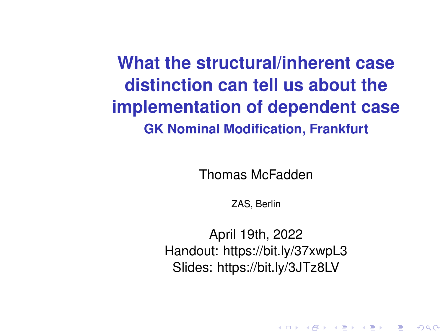<span id="page-0-0"></span>**What the structural/inherent case distinction can tell us about the implementation of dependent case GK Nominal Modification, Frankfurt**

Thomas McFadden

ZAS, Berlin

April 19th, 2022 Handout: https://bit.ly/37xwpL3 Slides: https://bit.ly/3JTz8LV

K ロ ▶ K @ ▶ K 할 ▶ K 할 ▶ 이 할 → 900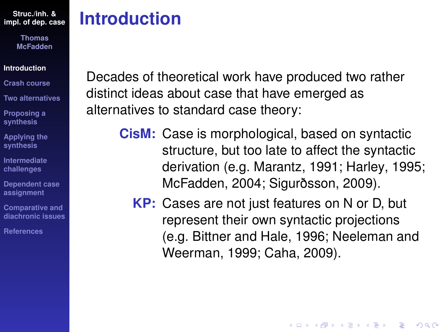> **Thomas McFadden**

#### **[Introduction](#page-1-0)**

- **[Crash course](#page-3-0)**
- **[Two alternatives](#page-15-0)**
- **[Proposing a](#page-33-0) synthesis**
- **[Applying the](#page-44-0) synthesis**
- **[Intermediate](#page-67-0) challenges**
- **[Dependent case](#page-82-0) assignment**
- **Comparative and [diachronic issues](#page-96-0)**
- **[References](#page-108-0)**

# <span id="page-1-0"></span>**Introduction**

Decades of theoretical work have produced two rather distinct ideas about case that have emerged as alternatives to standard case theory:

- **CisM:** Case is morphological, based on syntactic structure, but too late to affect the syntactic derivation (e.g. [Marantz, 1991;](#page-111-0) [Harley, 1995;](#page-110-0) [McFadden, 2004;](#page-111-1) [Sigurðsson, 2009\)](#page-114-0).
	- **KP:** Cases are not just features on N or D, but represent their own syntactic projections (e.g. [Bittner and Hale, 1996;](#page-109-0) [Neeleman and](#page-112-0) [Weerman, 1999;](#page-112-0) [Caha, 2009\)](#page-109-1).

**KOD KOD KED KED E VAN**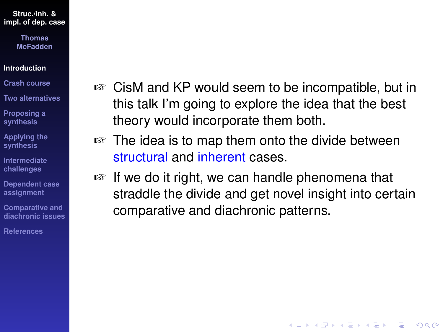> **Thomas McFadden**

#### **[Introduction](#page-1-0)**

**[Crash course](#page-3-0)**

**[Two alternatives](#page-15-0)**

**[Proposing a](#page-33-0) synthesis**

**[Applying the](#page-44-0) synthesis**

**[Intermediate](#page-67-0) challenges**

**[Dependent case](#page-82-0) assignment**

**Comparative and [diachronic issues](#page-96-0)**

**[References](#page-108-0)**

- ☞ CisM and KP would seem to be incompatible, but in this talk I'm going to explore the idea that the best theory would incorporate them both.
- ☞ The idea is to map them onto the divide between structural and inherent cases.
- ☞ If we do it right, we can handle phenomena that straddle the divide and get novel insight into certain comparative and diachronic patterns.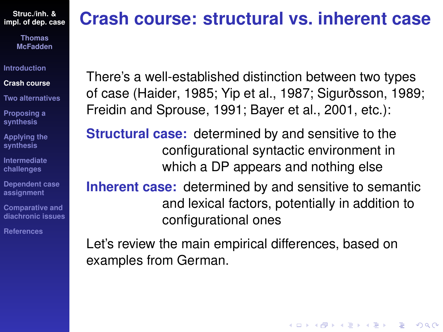> **Thomas McFadden**

**[Introduction](#page-1-0)**

**[Crash course](#page-3-0)**

**[Two alternatives](#page-15-0)**

**[Proposing a](#page-33-0) synthesis**

**[Applying the](#page-44-0) synthesis**

**[Intermediate](#page-67-0) challenges**

**[Dependent case](#page-82-0) assignment**

**Comparative and [diachronic issues](#page-96-0)**

**[References](#page-108-0)**

# <span id="page-3-0"></span>**Crash course: structural vs. inherent case**

There's a well-established distinction between two types of case [\(Haider, 1985;](#page-110-1) [Yip et al., 1987;](#page-115-0) [Sigurðsson, 1989;](#page-113-0) [Freidin and Sprouse, 1991;](#page-109-2) [Bayer et al., 2001,](#page-108-1) etc.):

**Structural case:** determined by and sensitive to the configurational syntactic environment in which a DP appears and nothing else

**Inherent case:** determined by and sensitive to semantic and lexical factors, potentially in addition to configurational ones

**KOD KOD KED KED E VAN** 

Let's review the main empirical differences, based on examples from German.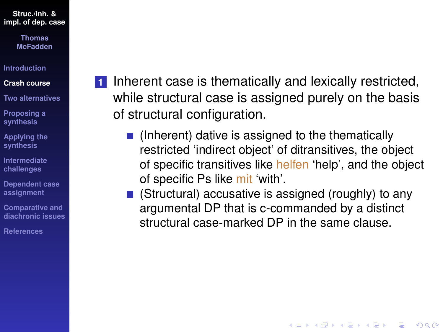> **Thomas McFadden**

**[Introduction](#page-1-0)**

#### **[Crash course](#page-3-0)**

**[Two alternatives](#page-15-0)**

**[Proposing a](#page-33-0) synthesis**

**[Applying the](#page-44-0) synthesis**

**[Intermediate](#page-67-0) challenges**

**[Dependent case](#page-82-0) assignment**

**Comparative and [diachronic issues](#page-96-0)**

**[References](#page-108-0)**

**1** Inherent case is thematically and lexically restricted, while structural case is assigned purely on the basis of structural configuration.

- $\blacksquare$  (Inherent) dative is assigned to the thematically restricted 'indirect object' of ditransitives, the object of specific transitives like helfen 'help', and the object of specific Ps like mit 'with'.
- $\blacksquare$  (Structural) accusative is assigned (roughly) to any argumental DP that is c-commanded by a distinct structural case-marked DP in the same clause.

**KORKARYKERKE PORCH**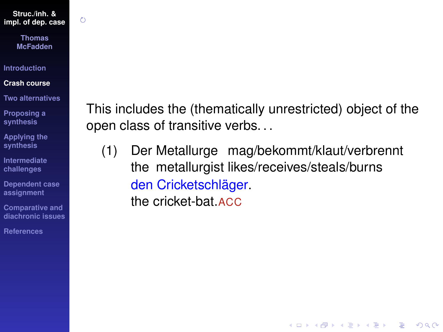$\zeta$ 

**Thomas McFadden**

**[Introduction](#page-1-0)**

#### **[Crash course](#page-3-0)**

**[Two alternatives](#page-15-0)**

**[Proposing a](#page-33-0) synthesis**

**[Applying the](#page-44-0) synthesis**

**[Intermediate](#page-67-0) challenges**

**[Dependent case](#page-82-0) assignment**

**Comparative and [diachronic issues](#page-96-0)**

**[References](#page-108-0)**

This includes the (thematically unrestricted) object of the open class of transitive verbs. . .

(1) Der Metallurge mag/bekommt/klaut/verbrennt the metallurgist likes/receives/steals/burns den Cricketschläger. the cricket-bat.ACC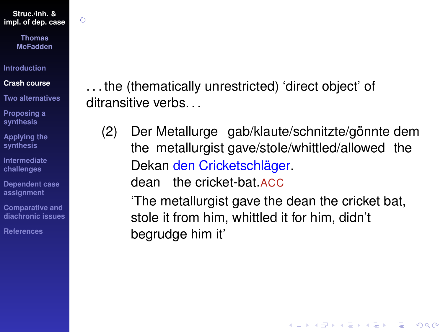$\zeta$ 

**Thomas McFadden**

**[Introduction](#page-1-0)**

**[Crash course](#page-3-0)**

**[Two alternatives](#page-15-0)**

**[Proposing a](#page-33-0) synthesis**

**[Applying the](#page-44-0) synthesis**

**[Intermediate](#page-67-0) challenges**

**[Dependent case](#page-82-0) assignment**

**Comparative and [diachronic issues](#page-96-0)**

**[References](#page-108-0)**

. . . the (thematically unrestricted) 'direct object' of ditransitive verbs.

(2) Der Metallurge gab/klaute/schnitzte/gönnte dem the metallurgist gave/stole/whittled/allowed the Dekan den Cricketschläger.

dean the cricket-bat.ACC

'The metallurgist gave the dean the cricket bat, stole it from him, whittled it for him, didn't begrudge him it'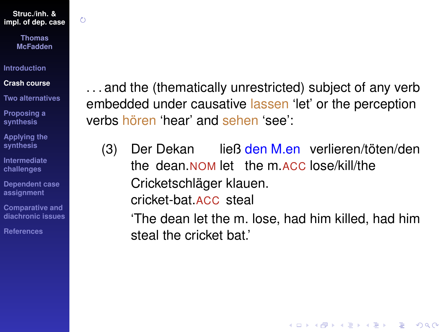$\zeta$ 

**Thomas McFadden**

**[Introduction](#page-1-0)**

#### **[Crash course](#page-3-0)**

**[Two alternatives](#page-15-0)**

**[Proposing a](#page-33-0) synthesis**

**[Applying the](#page-44-0) synthesis**

**[Intermediate](#page-67-0) challenges**

**[Dependent case](#page-82-0) assignment**

**Comparative and [diachronic issues](#page-96-0)**

**[References](#page-108-0)**

. . . and the (thematically unrestricted) subject of any verb embedded under causative lassen 'let' or the perception verbs hören 'hear' and sehen 'see':

 $(3)$ the dean.NOM let the m.ACC lose/kill/the Dekan ließ den M.en verlieren/töten/den Cricketschläger klauen. cricket-bat.ACC steal

'The dean let the m. lose, had him killed, had him steal the cricket bat.'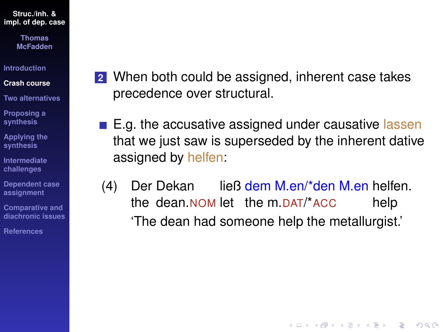> **Thomas McFadden**

**[Introduction](#page-1-0)**

**[Crash course](#page-3-0)**

**[Two alternatives](#page-15-0)**

**[Proposing a](#page-33-0) synthesis**

**[Applying the](#page-44-0) synthesis**

**[Intermediate](#page-67-0) challenges**

**[Dependent case](#page-82-0) assignment**

**Comparative and [diachronic issues](#page-96-0)**

**[References](#page-108-0)**

- **2** When both could be assigned, inherent case takes precedence over structural.
- $\blacksquare$  E.g. the accusative assigned under causative lassen that we just saw is superseded by the inherent dative assigned by helfen:
- (4) Der Dekan the dean.NOM let the m.DAT/\*ACC ließ dem M.en/\*den M.en helfen. help 'The dean had someone help the metallurgist.'

**KORKARYKERKE PORCH**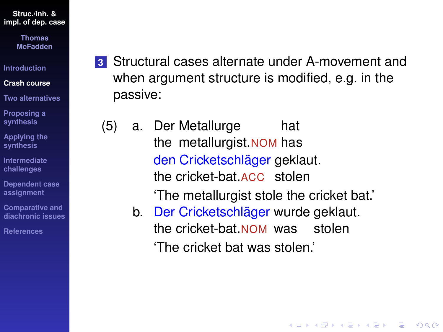> **Thomas McFadden**

**[Introduction](#page-1-0)**

**[Crash course](#page-3-0)**

**[Two alternatives](#page-15-0)**

**[Proposing a](#page-33-0) synthesis**

**[Applying the](#page-44-0) synthesis**

**[Intermediate](#page-67-0) challenges**

**[Dependent case](#page-82-0) assignment**

**Comparative and [diachronic issues](#page-96-0)**

**[References](#page-108-0)**

- **3** Structural cases alternate under A-movement and when argument structure is modified, e.g. in the passive:
	- (5) a. Der Metallurge the metallurgist.NOM has hat den Cricketschläger geklaut. the cricket-bat.ACC stolen

'The metallurgist stole the cricket bat.'

**KOD CONTRACT A BOAR KOD A CO** 

b. Der Cricketschläger wurde geklaut. the cricket-bat.NOM was stolen 'The cricket bat was stolen.'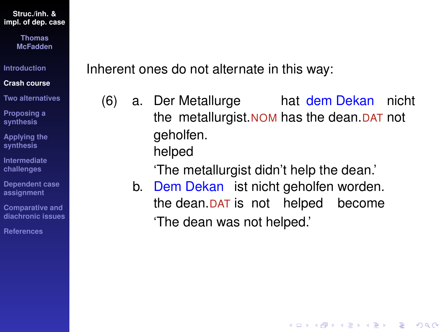> **Thomas McFadden**

**[Introduction](#page-1-0)**

**[Crash course](#page-3-0)**

**[Two alternatives](#page-15-0)**

**[Proposing a](#page-33-0) synthesis**

**[Applying the](#page-44-0) synthesis**

**[Intermediate](#page-67-0) challenges**

**[Dependent case](#page-82-0) assignment**

**Comparative and [diachronic issues](#page-96-0)**

**[References](#page-108-0)**

Inherent ones do not alternate in this way:

(6) a. Der Metallurge hat dem Dekan nicht the metallurgist.NOM has the dean.DAT not geholfen. helped

'The metallurgist didn't help the dean.'

b. Dem Dekan ist nicht geholfen worden. the dean.DAT is not helped become 'The dean was not helped.'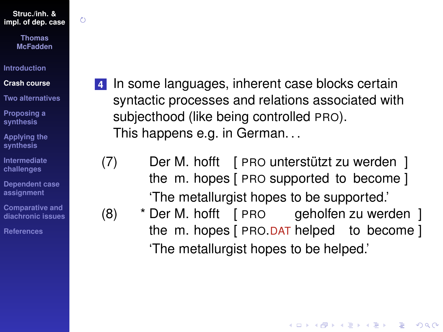$\zeta$ 

**Thomas McFadden**

**[Introduction](#page-1-0)**

#### **[Crash course](#page-3-0)**

**[Two alternatives](#page-15-0)**

**[Proposing a](#page-33-0) synthesis**

**[Applying the](#page-44-0) synthesis**

**[Intermediate](#page-67-0) challenges**

**[Dependent case](#page-82-0) assignment**

**Comparative and [diachronic issues](#page-96-0)**

**[References](#page-108-0)**

**4** In some languages, inherent case blocks certain syntactic processes and relations associated with subjecthood (like being controlled PRO). This happens e.g. in German. . .

(7) Der M. hofft [ PRO unterstützt zu werden ] the m. hopes [ PRO supported to become ] 'The metallurgist hopes to be supported.'

(8) \* Der M. hofft [ PRO geholfen zu werden ] the m. hopes [ PRO.DAT helped to become ] 'The metallurgist hopes to be helped.'

**KORK ERKER ADAM ADA**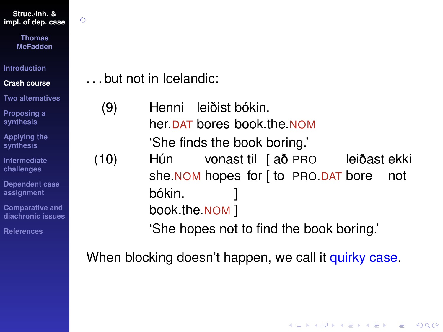Õ

**Thomas McFadden**

**[Introduction](#page-1-0)**

**[Crash course](#page-3-0)**

**[Two alternatives](#page-15-0)**

**[Proposing a](#page-33-0) synthesis**

**[Applying the](#page-44-0) synthesis**

**[Intermediate](#page-67-0) challenges**

**[Dependent case](#page-82-0) assignment**

**Comparative and [diachronic issues](#page-96-0)**

**[References](#page-108-0)**

. . . but not in Icelandic:

(9) Henni leiðist bókin. her.DAT bores book.the.NOM 'She finds the book boring.' (10) Hún she.NOM hopes for [ to PRO.DAT bore vonast til [ að PRO leiðast ekki not bókin. book.the.NOM ] ] 'She hopes not to find the book boring.'

When blocking doesn't happen, we call it quirky case.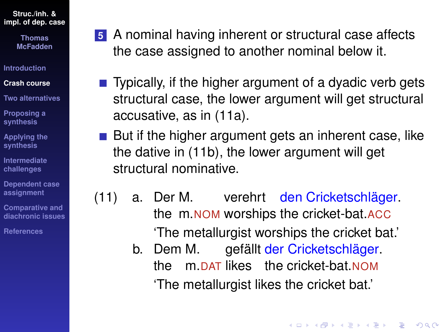> **Thomas McFadden**

**[Introduction](#page-1-0)**

#### **[Crash course](#page-3-0)**

**[Two alternatives](#page-15-0)**

**[Proposing a](#page-33-0) synthesis**

**[Applying the](#page-44-0) synthesis**

**[Intermediate](#page-67-0) challenges**

**[Dependent case](#page-82-0) assignment**

**Comparative and [diachronic issues](#page-96-0)**

**[References](#page-108-0)**

- **5** A nominal having inherent or structural case affects the case assigned to another nominal below it.
- $\blacksquare$  Typically, if the higher argument of a dyadic verb gets structural case, the lower argument will get structural accusative, as in [\(11a\)](#page-13-0).
- $\blacksquare$  But if the higher argument gets an inherent case, like the dative in [\(11b\)](#page-13-1), the lower argument will get structural nominative.
- <span id="page-13-1"></span><span id="page-13-0"></span>(11) a. Der M. the m.NOM worships the cricket-bat.ACC verehrt den Cricketschläger. 'The metallurgist worships the cricket bat.'
	- b. Dem M. the m.DAT likes the cricket-bat.NOM gefällt der Cricketschläger. 'The metallurgist likes the cricket bat.'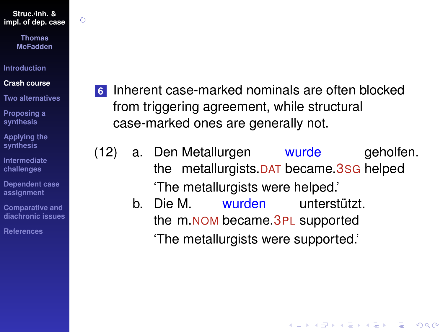$\zeta$ 

**Thomas McFadden**

**[Introduction](#page-1-0)**

#### **[Crash course](#page-3-0)**

**[Two alternatives](#page-15-0)**

**[Proposing a](#page-33-0) synthesis**

**[Applying the](#page-44-0) synthesis**

**[Intermediate](#page-67-0) challenges**

**[Dependent case](#page-82-0) assignment**

**Comparative and [diachronic issues](#page-96-0)**

**[References](#page-108-0)**

**6** Inherent case-marked nominals are often blocked from triggering agreement, while structural case-marked ones are generally not.

(12) a. Den Metallurgen the metallurgists.DAT became.3SG helped wurde geholfen. 'The metallurgists were helped.'

> b. Die M. wurden unterstützt. the m.NOM became. 3PL supported 'The metallurgists were supported.'

> > **KOD KOD KED KED E VAN**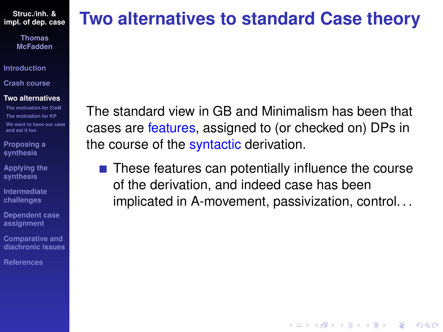> **Thomas McFadden**

**[Introduction](#page-1-0)**

**[Crash course](#page-3-0)**

#### **[Two alternatives](#page-15-0)**

**[The motivation for CisM](#page-17-0) [The motivation for KP](#page-25-0) [We want to have our case](#page-30-0) and eat it too**

**[Proposing a](#page-33-0) synthesis**

**[Applying the](#page-44-0) synthesis**

**[Intermediate](#page-67-0) challenges**

**[Dependent case](#page-82-0) assignment**

**Comparative and [diachronic issues](#page-96-0)**

**[References](#page-108-0)**

# <span id="page-15-0"></span>**Two alternatives to standard Case theory**

The standard view in GB and Minimalism has been that cases are features, assigned to (or checked on) DPs in the course of the syntactic derivation.

 $\blacksquare$  These features can potentially influence the course of the derivation, and indeed case has been implicated in A-movement, passivization, control. . .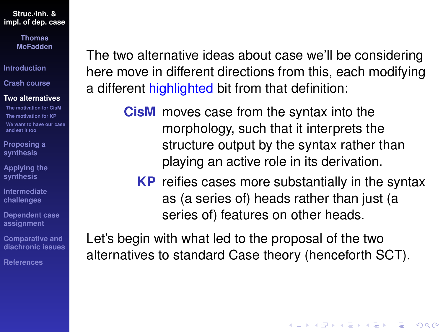> **Thomas McFadden**

**[Introduction](#page-1-0)**

**[Crash course](#page-3-0)**

#### **[Two alternatives](#page-15-0)**

**[The motivation for CisM](#page-17-0) [The motivation for KP](#page-25-0) [We want to have our case](#page-30-0) and eat it too**

**[Proposing a](#page-33-0) synthesis**

**[Applying the](#page-44-0) synthesis**

**[Intermediate](#page-67-0) challenges**

**[Dependent case](#page-82-0) assignment**

**Comparative and [diachronic issues](#page-96-0)**

**[References](#page-108-0)**

The two alternative ideas about case we'll be considering here move in different directions from this, each modifying a different highlighted bit from that definition:

> **CisM** moves case from the syntax into the morphology, such that it interprets the structure output by the syntax rather than playing an active role in its derivation.

**KP** reifies cases more substantially in the syntax as (a series of) heads rather than just (a series of) features on other heads.

**KORK ERKER ADAM ADA** 

Let's begin with what led to the proposal of the two alternatives to standard Case theory (henceforth SCT).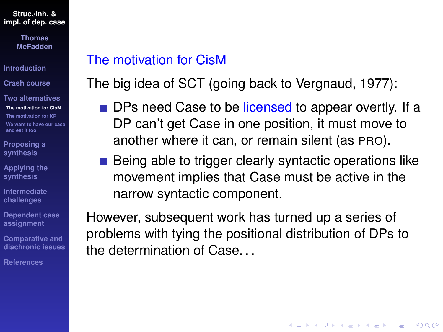> **Thomas McFadden**

**[Introduction](#page-1-0)**

**[Crash course](#page-3-0)**

**[Two alternatives](#page-15-0) [The motivation for CisM](#page-17-0) [The motivation for KP](#page-25-0) [We want to have our case](#page-30-0) and eat it too**

**[Proposing a](#page-33-0) synthesis**

**[Applying the](#page-44-0) synthesis**

**[Intermediate](#page-67-0) challenges**

**[Dependent case](#page-82-0) assignment**

**Comparative and [diachronic issues](#page-96-0)**

**[References](#page-108-0)**

### <span id="page-17-0"></span>The motivation for CisM

The big idea of SCT (going back to [Vergnaud, 1977\)](#page-115-1):

- **DPs need Case to be licensed to appear overtly.** If a DP can't get Case in one position, it must move to another where it can, or remain silent (as PRO).
- Being able to trigger clearly syntactic operations like movement implies that Case must be active in the narrow syntactic component.

**KOD KOD KED KED E VAN** 

However, subsequent work has turned up a series of problems with tying the positional distribution of DPs to the determination of Case. . .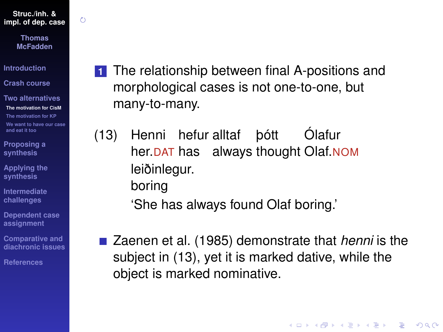$\zeta$ 

**Thomas McFadden**

**[Introduction](#page-1-0)**

**[Crash course](#page-3-0)**

**[Two alternatives](#page-15-0) [The motivation for CisM](#page-17-0) [The motivation for KP](#page-25-0) [We want to have our case](#page-30-0) and eat it too**

**[Proposing a](#page-33-0) synthesis**

**[Applying the](#page-44-0) synthesis**

**[Intermediate](#page-67-0) challenges**

**[Dependent case](#page-82-0) assignment**

**Comparative and [diachronic issues](#page-96-0)**

**[References](#page-108-0)**

- **1** The relationship between final A-positions and morphological cases is not one-to-one, but many-to-many.
- <span id="page-18-0"></span>(13) Henni hefur alltaf her.<u>DAT</u> has always thought Olaf.<u>NOM</u> þótt Ólafur leiðinlegur. boring

'She has always found Olaf boring.'

■ [Zaenen et al. \(1985\)](#page-116-0) demonstrate that *henni* is the subject in [\(13\)](#page-18-0), yet it is marked dative, while the object is marked nominative.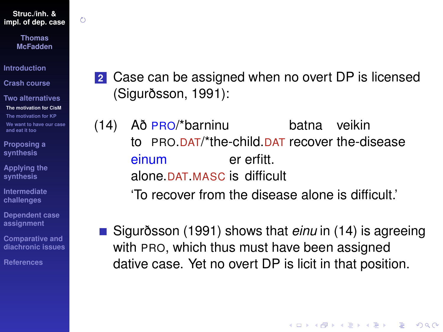Õ

**Thomas McFadden**

**[Introduction](#page-1-0)**

**[Crash course](#page-3-0)**

**[Two alternatives](#page-15-0) [The motivation for CisM](#page-17-0) [The motivation for KP](#page-25-0) [We want to have our case](#page-30-0) and eat it too**

**[Proposing a](#page-33-0) synthesis**

**[Applying the](#page-44-0) synthesis**

**[Intermediate](#page-67-0) challenges**

**[Dependent case](#page-82-0) assignment**

**Comparative and [diachronic issues](#page-96-0)**

**[References](#page-108-0)**

**2** Case can be assigned when no overt DP is licensed [\(Sigurðsson, 1991\)](#page-114-1):

<span id="page-19-0"></span> $(14)$ to PRO.DAT/\*the-child.DAT recover the-disease Að PRO/\*barninu batna veikin einum alone.DAT.MASC is difficult er erfitt. 'To recover from the disease alone is difficult.'

[Sigurðsson \(1991\)](#page-114-1) shows that *einu* in [\(14\)](#page-19-0) is agreeing with PRO, which thus must have been assigned dative case. Yet no overt DP is licit in that position.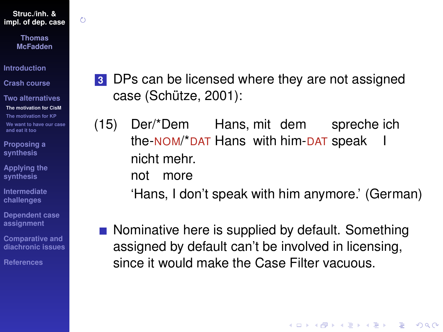O

**Thomas McFadden**

**[Introduction](#page-1-0)**

**[Crash course](#page-3-0)**

**[Two alternatives](#page-15-0) [The motivation for CisM](#page-17-0) [The motivation for KP](#page-25-0) [We want to have our case](#page-30-0) and eat it too**

**[Proposing a](#page-33-0) synthesis**

**[Applying the](#page-44-0) synthesis**

**[Intermediate](#page-67-0) challenges**

**[Dependent case](#page-82-0) assignment**

**Comparative and [diachronic issues](#page-96-0)**

**[References](#page-108-0)**

**3** DPs can be licensed where they are not assigned case [\(Schütze, 2001\)](#page-113-1):

(15) Der/\*Dem the-<u>NOM/\*DAT</u> Hans with him-<u>DAT</u> speak Hans, mit dem spreche ich I nicht mehr.

> not more

'Hans, I don't speak with him anymore.' (German)

**KOD CONTRACT A BOAR KOD A CO** 

Nominative here is supplied by default. Something assigned by default can't be involved in licensing, since it would make the Case Filter vacuous.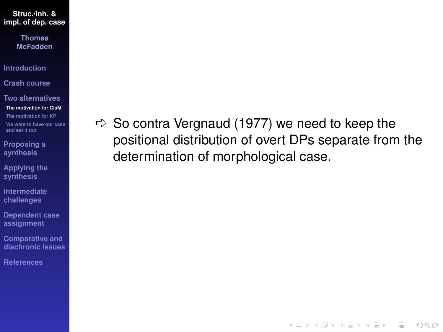> **Thomas McFadden**

**[Introduction](#page-1-0)**

**[Crash course](#page-3-0)**

**[Two alternatives](#page-15-0) [The motivation for CisM](#page-17-0) [The motivation for KP](#page-25-0) [We want to have our case](#page-30-0) and eat it too**

**[Proposing a](#page-33-0) synthesis**

**[Applying the](#page-44-0) synthesis**

**[Intermediate](#page-67-0) challenges**

**[Dependent case](#page-82-0) assignment**

**Comparative and [diachronic issues](#page-96-0)**

**[References](#page-108-0)**

 $\Rightarrow$  So contra [Vergnaud \(1977\)](#page-115-1) we need to keep the positional distribution of overt DPs separate from the determination of morphological case.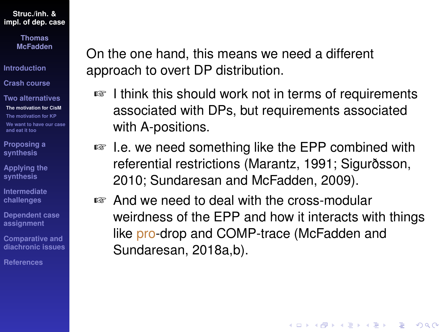> **Thomas McFadden**

**[Introduction](#page-1-0)**

**[Crash course](#page-3-0)**

**[Two alternatives](#page-15-0) [The motivation for CisM](#page-17-0) [The motivation for KP](#page-25-0) [We want to have our case](#page-30-0) and eat it too**

**[Proposing a](#page-33-0) synthesis**

**[Applying the](#page-44-0) synthesis**

**[Intermediate](#page-67-0) challenges**

**[Dependent case](#page-82-0) assignment**

**Comparative and [diachronic issues](#page-96-0)**

**[References](#page-108-0)**

On the one hand, this means we need a different approach to overt DP distribution.

- ☞ I think this should work not in terms of requirements associated with DPs, but requirements associated with A-positions.
- ☞ I.e. we need something like the EPP combined with referential restrictions [\(Marantz, 1991;](#page-111-0) [Sigurðsson,](#page-114-2) [2010;](#page-114-2) [Sundaresan and McFadden, 2009\)](#page-114-3).
- ☞ And we need to deal with the cross-modular weirdness of the EPP and how it interacts with things like pro-drop and COMP-trace [\(McFadden and](#page-112-1) [Sundaresan, 2018a,](#page-112-1)[b\)](#page-112-2).

**KORKARA KERKER DAGA**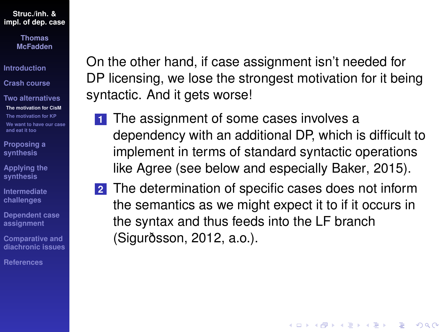> **Thomas McFadden**

**[Introduction](#page-1-0)**

**[Crash course](#page-3-0)**

**[Two alternatives](#page-15-0) [The motivation for CisM](#page-17-0) [The motivation for KP](#page-25-0) [We want to have our case](#page-30-0) and eat it too**

**[Proposing a](#page-33-0) synthesis**

**[Applying the](#page-44-0) synthesis**

**[Intermediate](#page-67-0) challenges**

**[Dependent case](#page-82-0) assignment**

**Comparative and [diachronic issues](#page-96-0)**

**[References](#page-108-0)**

On the other hand, if case assignment isn't needed for DP licensing, we lose the strongest motivation for it being syntactic. And it gets worse!

- **1** The assignment of some cases involves a dependency with an additional DP, which is difficult to implement in terms of standard syntactic operations like Agree (see below and especially [Baker, 2015\)](#page-108-2).
- **2** The determination of specific cases does not inform the semantics as we might expect it to if it occurs in the syntax and thus feeds into the LF branch [\(Sigurðsson, 2012,](#page-114-4) a.o.).

**KORK ERKER ADAM ADA**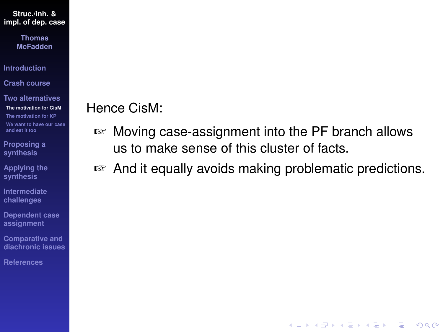> **Thomas McFadden**

**[Introduction](#page-1-0)**

**[Crash course](#page-3-0)**

**[Two alternatives](#page-15-0) [The motivation for CisM](#page-17-0) [The motivation for KP](#page-25-0) [We want to have our case](#page-30-0) and eat it too**

**[Proposing a](#page-33-0) synthesis**

**[Applying the](#page-44-0) synthesis**

**[Intermediate](#page-67-0) challenges**

**[Dependent case](#page-82-0) assignment**

**Comparative and [diachronic issues](#page-96-0)**

**[References](#page-108-0)**

## Hence CisM:

- ☞ Moving case-assignment into the PF branch allows us to make sense of this cluster of facts.
- ☞ And it equally avoids making problematic predictions.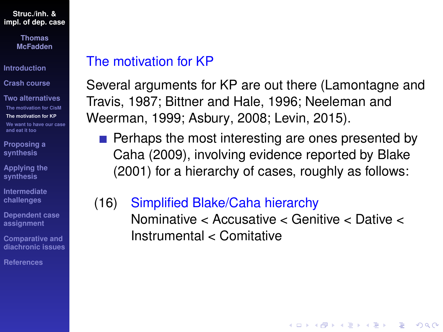> **Thomas McFadden**

**[Introduction](#page-1-0)**

**[Crash course](#page-3-0)**

**[Two alternatives](#page-15-0) [The motivation for CisM](#page-17-0) [The motivation for KP](#page-25-0) [We want to have our case](#page-30-0) and eat it too**

**[Proposing a](#page-33-0) synthesis**

**[Applying the](#page-44-0) synthesis**

**[Intermediate](#page-67-0) challenges**

**[Dependent case](#page-82-0) assignment**

**Comparative and [diachronic issues](#page-96-0)**

**[References](#page-108-0)**

### <span id="page-25-0"></span>The motivation for KP

Several arguments for KP are out there [\(Lamontagne and](#page-110-2) [Travis, 1987;](#page-110-2) [Bittner and Hale, 1996;](#page-109-0) [Neeleman and](#page-112-0) [Weerman, 1999;](#page-112-0) [Asbury, 2008;](#page-108-3) [Levin, 2015\)](#page-110-3).

- $\blacksquare$  Perhaps the most interesting are ones presented by [Caha \(2009\)](#page-109-1), involving evidence reported by [Blake](#page-109-3) [\(2001\)](#page-109-3) for a hierarchy of cases, roughly as follows:
- <span id="page-25-1"></span>(16) Simplified Blake/Caha hierarchy Nominative < Accusative < Genitive < Dative < Instrumental < Comitative

**KOD KOD KED KED E VAN**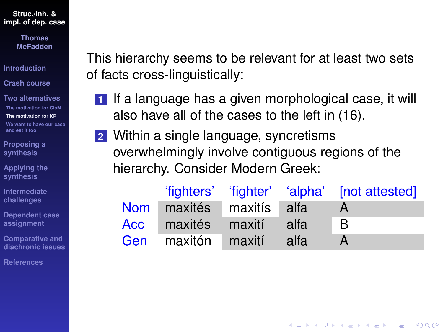> **Thomas McFadden**

**[Introduction](#page-1-0)**

**[Crash course](#page-3-0)**

**[Two alternatives](#page-15-0) [The motivation for CisM](#page-17-0) [The motivation for KP](#page-25-0) [We want to have our case](#page-30-0) and eat it too**

**[Proposing a](#page-33-0) synthesis**

**[Applying the](#page-44-0) synthesis**

**[Intermediate](#page-67-0) challenges**

**[Dependent case](#page-82-0) assignment**

**Comparative and [diachronic issues](#page-96-0)**

**[References](#page-108-0)**

This hierarchy seems to be relevant for at least two sets of facts cross-linguistically:

- **1** If a language has a given morphological case, it will also have all of the cases to the left in [\(16\)](#page-25-1).
- **2** Within a single language, syncretisms overwhelmingly involve contiguous regions of the hierarchy. Consider Modern Greek:

|                          |      | 'fighters' 'fighter' 'alpha' [not attested] |
|--------------------------|------|---------------------------------------------|
| Nom maxités maxitís alfa |      |                                             |
| Acc maxités maxití       | alfa | -B                                          |
| Gen maxitón maxití       | alfa |                                             |

**KORK ERKER ADAM ADA**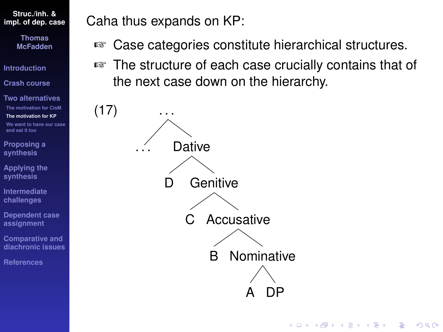> **Thomas McFadden**

**[Introduction](#page-1-0)**

**[Crash course](#page-3-0)**

**[Two alternatives](#page-15-0) [The motivation for CisM](#page-17-0) [The motivation for KP](#page-25-0) [We want to have our case](#page-30-0) and eat it too**

 $(17)$ 

**[Proposing a](#page-33-0) synthesis**

**[Applying the](#page-44-0) synthesis**

**[Intermediate](#page-67-0) challenges**

**[Dependent case](#page-82-0) assignment**

**Comparative and [diachronic issues](#page-96-0)**

**[References](#page-108-0)**

Caha thus expands on KP:

- ☞ Case categories constitute hierarchical structures.
- ☞ The structure of each case crucially contains that of the next case down on the hierarchy.

**KOD CONTRACT A BOAR KOD A CO** 

**Dative Genitive** Accusative Nominative **DP** B C D . . .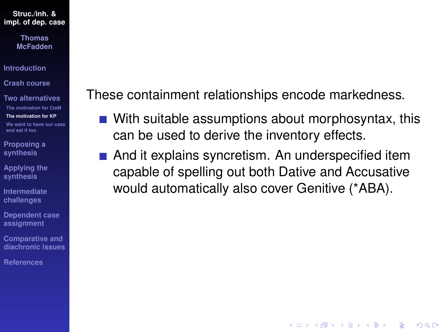> **Thomas McFadden**

**[Introduction](#page-1-0)**

**[Crash course](#page-3-0)**

**[Two alternatives](#page-15-0) [The motivation for CisM](#page-17-0) [The motivation for KP](#page-25-0) [We want to have our case](#page-30-0) and eat it too**

**[Proposing a](#page-33-0) synthesis**

**[Applying the](#page-44-0) synthesis**

**[Intermediate](#page-67-0) challenges**

**[Dependent case](#page-82-0) assignment**

**Comparative and [diachronic issues](#page-96-0)**

**[References](#page-108-0)**

These containment relationships encode markedness.

- With suitable assumptions about morphosyntax, this can be used to derive the inventory effects.
- And it explains syncretism. An underspecified item capable of spelling out both Dative and Accusative would automatically also cover Genitive (\*ABA).

**KORKARYKERKE PORCH**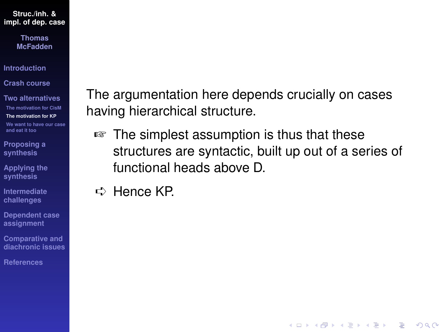> **Thomas McFadden**

**[Introduction](#page-1-0)**

**[Crash course](#page-3-0)**

**[Two alternatives](#page-15-0) [The motivation for CisM](#page-17-0) [The motivation for KP](#page-25-0) [We want to have our case](#page-30-0) and eat it too**

**[Proposing a](#page-33-0) synthesis**

**[Applying the](#page-44-0) synthesis**

**[Intermediate](#page-67-0) challenges**

**[Dependent case](#page-82-0) assignment**

**Comparative and [diachronic issues](#page-96-0)**

**[References](#page-108-0)**

The argumentation here depends crucially on cases having hierarchical structure.

☞ The simplest assumption is thus that these structures are syntactic, built up out of a series of functional heads above D.

**KOD CONTRACT A BOAR KOD A CO** 

➪ Hence KP.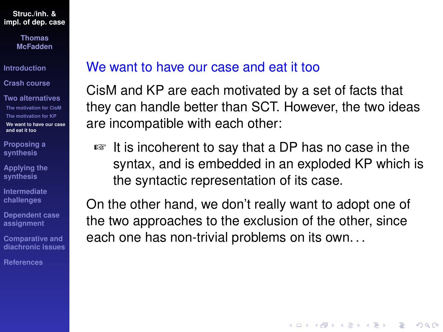> **Thomas McFadden**

**[Introduction](#page-1-0)**

**[Crash course](#page-3-0)**

**[Two alternatives](#page-15-0) [The motivation for CisM](#page-17-0) [The motivation for KP](#page-25-0) [We want to have our case](#page-30-0) and eat it too**

**[Proposing a](#page-33-0) synthesis**

**[Applying the](#page-44-0) synthesis**

**[Intermediate](#page-67-0) challenges**

**[Dependent case](#page-82-0) assignment**

**Comparative and [diachronic issues](#page-96-0)**

**[References](#page-108-0)**

### <span id="page-30-0"></span>We want to have our case and eat it too

CisM and KP are each motivated by a set of facts that they can handle better than SCT. However, the two ideas are incompatible with each other:

☞ It is incoherent to say that a DP has no case in the syntax, and is embedded in an exploded KP which is the syntactic representation of its case.

On the other hand, we don't really want to adopt one of the two approaches to the exclusion of the other, since each one has non-trivial problems on its own. . .

**KOD KOD KED KED E VAN**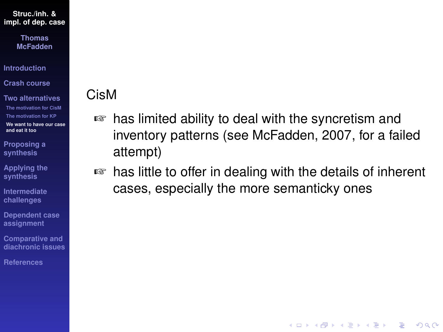> **Thomas McFadden**

**[Introduction](#page-1-0)**

**[Crash course](#page-3-0)**

**[Two alternatives](#page-15-0) [The motivation for CisM](#page-17-0) [The motivation for KP](#page-25-0) [We want to have our case](#page-30-0) and eat it too**

**[Proposing a](#page-33-0) synthesis**

**[Applying the](#page-44-0) synthesis**

**[Intermediate](#page-67-0) challenges**

**[Dependent case](#page-82-0) assignment**

**Comparative and [diachronic issues](#page-96-0)**

**[References](#page-108-0)**

## CisM

- ☞ has limited ability to deal with the syncretism and inventory patterns (see [McFadden, 2007,](#page-111-2) for a failed attempt)
- ☞ has little to offer in dealing with the details of inherent cases, especially the more semanticky ones

**KOD KOD KED KED E VAN**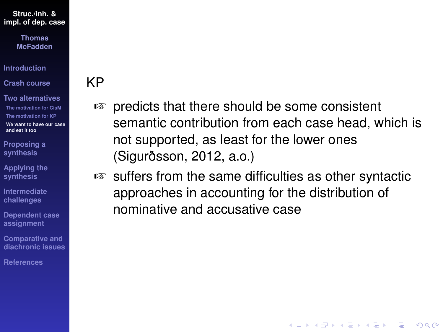**Thomas McFadden**

**[Introduction](#page-1-0)**

**[Crash course](#page-3-0)**

**[Two alternatives](#page-15-0) [The motivation for CisM](#page-17-0) [The motivation for KP](#page-25-0) [We want to have our case](#page-30-0) and eat it too**

**[Proposing a](#page-33-0) synthesis**

**[Applying the](#page-44-0) synthesis**

**[Intermediate](#page-67-0) challenges**

**[Dependent case](#page-82-0) assignment**

**Comparative and [diachronic issues](#page-96-0)**

**[References](#page-108-0)**

### KP

- ☞ predicts that there should be some consistent semantic contribution from each case head, which is not supported, as least for the lower ones [\(Sigurðsson, 2012,](#page-114-4) a.o.)
- ☞ suffers from the same difficulties as other syntactic approaches in accounting for the distribution of nominative and accusative case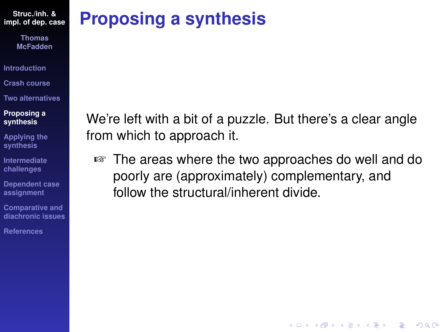> **Thomas McFadden**

- **[Introduction](#page-1-0)**
- **[Crash course](#page-3-0)**
- **[Two alternatives](#page-15-0)**

#### **[Proposing a](#page-33-0) synthesis**

- **[Applying the](#page-44-0) synthesis**
- **[Intermediate](#page-67-0) challenges**
- **[Dependent case](#page-82-0) assignment**
- **Comparative and [diachronic issues](#page-96-0)**
- **[References](#page-108-0)**

# <span id="page-33-0"></span>**Proposing a synthesis**

We're left with a bit of a puzzle. But there's a clear angle from which to approach it.

☞ The areas where the two approaches do well and do poorly are (approximately) complementary, and follow the structural/inherent divide.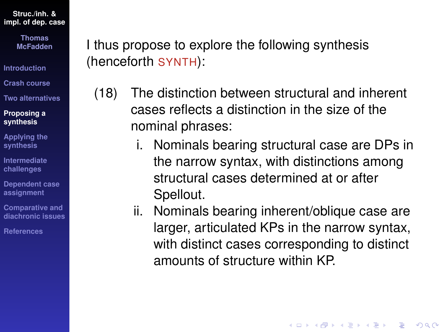> **Thomas McFadden**

**[Introduction](#page-1-0)**

**[Crash course](#page-3-0)**

**[Two alternatives](#page-15-0)**

**[Proposing a](#page-33-0) synthesis**

**[Applying the](#page-44-0) synthesis**

**[Intermediate](#page-67-0) challenges**

**[Dependent case](#page-82-0) assignment**

**Comparative and [diachronic issues](#page-96-0)**

**[References](#page-108-0)**

I thus propose to explore the following synthesis (henceforth SYNTH):

- (18) The distinction between structural and inherent cases reflects a distinction in the size of the nominal phrases:
	- i. Nominals bearing structural case are DPs in the narrow syntax, with distinctions among structural cases determined at or after Spellout.
	- ii. Nominals bearing inherent/oblique case are larger, articulated KPs in the narrow syntax, with distinct cases corresponding to distinct amounts of structure within KP.

**KOD KOD KED KED E VAN**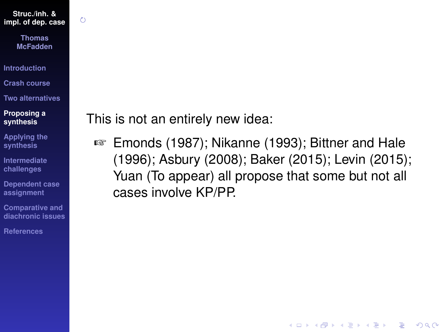$\zeta$ 

**Thomas McFadden**

**[Introduction](#page-1-0)**

**[Crash course](#page-3-0)**

**[Two alternatives](#page-15-0)**

**[Proposing a](#page-33-0) synthesis**

**[Applying the](#page-44-0) synthesis**

**[Intermediate](#page-67-0) challenges**

**[Dependent case](#page-82-0) assignment**

**Comparative and [diachronic issues](#page-96-0)**

**[References](#page-108-0)**

This is not an entirely new idea:

☞ [Emonds \(1987\)](#page-109-4); [Nikanne \(1993\)](#page-113-2); [Bittner and Hale](#page-109-0) [\(1996\)](#page-109-0); [Asbury \(2008\)](#page-108-3); [Baker \(2015\)](#page-108-2); [Levin \(2015\)](#page-110-3); [Yuan \(To appear\)](#page-116-1) all propose that some but not all cases involve KP/PP.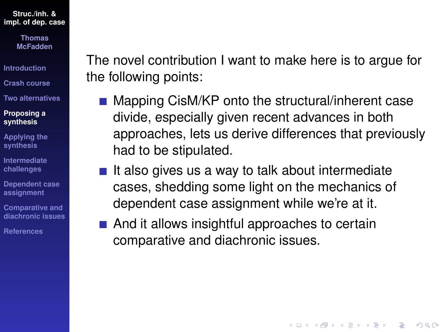> **Thomas McFadden**

**[Introduction](#page-1-0)**

**[Crash course](#page-3-0)**

**[Two alternatives](#page-15-0)**

#### **[Proposing a](#page-33-0) synthesis**

**[Applying the](#page-44-0) synthesis**

**[Intermediate](#page-67-0) challenges**

**[Dependent case](#page-82-0) assignment**

**Comparative and [diachronic issues](#page-96-0)**

**[References](#page-108-0)**

The novel contribution I want to make here is to argue for the following points:

■ Mapping CisM/KP onto the structural/inherent case divide, especially given recent advances in both approaches, lets us derive differences that previously had to be stipulated.

**KOD KOD KED KED E VAN** 

- $\blacksquare$  It also gives us a way to talk about intermediate cases, shedding some light on the mechanics of dependent case assignment while we're at it.
- And it allows insightful approaches to certain comparative and diachronic issues.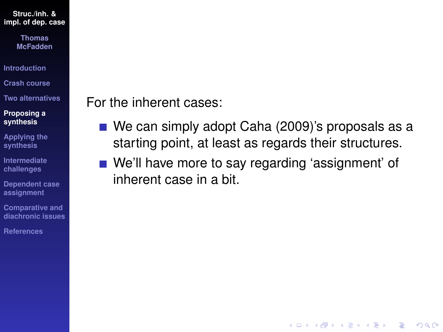> **Thomas McFadden**

**[Introduction](#page-1-0)**

**[Crash course](#page-3-0)**

**[Two alternatives](#page-15-0)**

**[Proposing a](#page-33-0) synthesis**

**[Applying the](#page-44-0) synthesis**

**[Intermediate](#page-67-0) challenges**

**[Dependent case](#page-82-0) assignment**

**Comparative and [diachronic issues](#page-96-0)**

**[References](#page-108-0)**

### For the inherent cases:

■ We can simply adopt [Caha \(2009\)](#page-109-0)'s proposals as a starting point, at least as regards their structures.

**KOD KOD KED KED E VAN** 

■ We'll have more to say regarding 'assignment' of inherent case in a bit.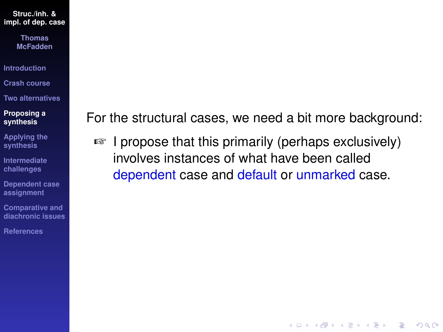> **Thomas McFadden**

**[Introduction](#page-1-0)**

**[Crash course](#page-3-0)**

**[Two alternatives](#page-15-0)**

#### **[Proposing a](#page-33-0) synthesis**

**[Applying the](#page-44-0) synthesis**

**[Intermediate](#page-67-0) challenges**

**[Dependent case](#page-82-0) assignment**

**Comparative and [diachronic issues](#page-96-0)**

**[References](#page-108-0)**

For the structural cases, we need a bit more background:

**KOD CONTRACT A BOAR KOD A CO** 

☞ I propose that this primarily (perhaps exclusively) involves instances of what have been called dependent case and default or unmarked case.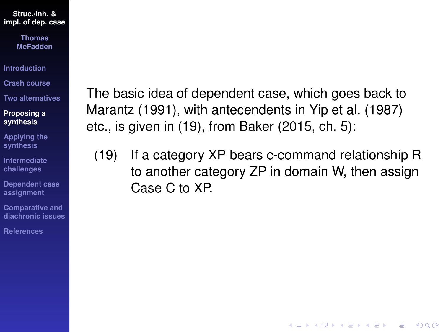> **Thomas McFadden**

**[Introduction](#page-1-0)**

**[Crash course](#page-3-0)**

**[Two alternatives](#page-15-0)**

**[Proposing a](#page-33-0) synthesis**

**[Applying the](#page-44-0) synthesis**

**[Intermediate](#page-67-0) challenges**

**[Dependent case](#page-82-0) assignment**

**Comparative and [diachronic issues](#page-96-0)**

**[References](#page-108-0)**

The basic idea of dependent case, which goes back to [Marantz \(1991\)](#page-111-0), with antecendents in [Yip et al. \(1987\)](#page-115-0) etc., is given in [\(19\)](#page-39-0), from [Baker \(2015,](#page-108-1) ch. 5):

<span id="page-39-0"></span>(19) If a category XP bears c-command relationship R to another category ZP in domain W, then assign Case C to XP.

**KOD KOD KED KED E VAN**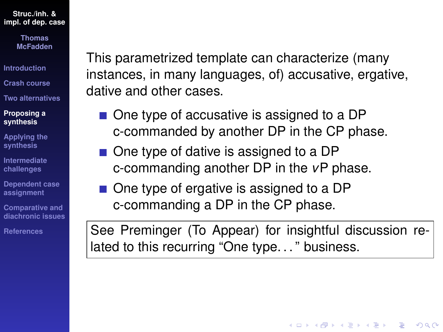> **Thomas McFadden**

**[Introduction](#page-1-0)**

**[Crash course](#page-3-0)**

**[Two alternatives](#page-15-0)**

**[Proposing a](#page-33-0) synthesis**

**[Applying the](#page-44-0) synthesis**

**[Intermediate](#page-67-0) challenges**

**[Dependent case](#page-82-0) assignment**

**Comparative and [diachronic issues](#page-96-0)**

**[References](#page-108-0)**

This parametrized template can characterize (many instances, in many languages, of) accusative, ergative, dative and other cases.

- One type of accusative is assigned to a DP c-commanded by another DP in the CP phase.
- One type of dative is assigned to a DP c-commanding another DP in the *v*P phase.
- One type of ergative is assigned to a DP c-commanding a DP in the CP phase.

See [Preminger \(To Appear\)](#page-113-0) for insightful discussion related to this recurring "One type. . . " business.

**KORKARYKERKE PORCH**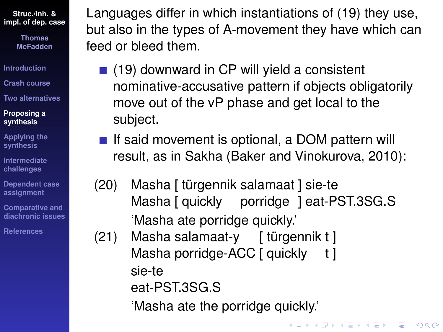> **Thomas McFadden**

**[Introduction](#page-1-0)**

**[Crash course](#page-3-0)**

**[Two alternatives](#page-15-0)**

#### **[Proposing a](#page-33-0) synthesis**

**[Applying the](#page-44-0) synthesis**

**[Intermediate](#page-67-0) challenges**

**[Dependent case](#page-82-0) assignment**

**Comparative and [diachronic issues](#page-96-0)**

**[References](#page-108-0)**

Languages differ in which instantiations of [\(19\)](#page-39-0) they use, but also in the types of A-movement they have which can feed or bleed them.

- $(19)$  downward in CP will yield a consistent nominative-accusative pattern if objects obligatorily move out of the vP phase and get local to the subject.
- If said movement is optional, a DOM pattern will result, as in Sakha [\(Baker and Vinokurova, 2010\)](#page-108-2):
- (20) Masha [ türgennik salamaat ] sie-te Masha [ quickly porridge ] eat-PST.3SG.S 'Masha ate porridge quickly.'

(21) Masha salamaat-y [ türgennik t ] Masha porridge-ACC [ quickly t ] sie-te eat-PST.3SG.S

'Masha ate the porridge quickly.'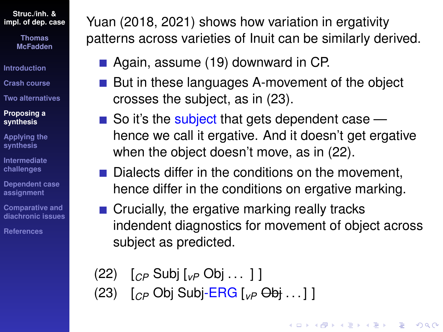> **Thomas McFadden**

**[Introduction](#page-1-0)**

**[Crash course](#page-3-0)**

**[Two alternatives](#page-15-0)**

#### **[Proposing a](#page-33-0) synthesis**

**[Applying the](#page-44-0) synthesis**

**[Intermediate](#page-67-0) challenges**

**[Dependent case](#page-82-0) assignment**

**Comparative and [diachronic issues](#page-96-0)**

**[References](#page-108-0)**

[Yuan \(2018,](#page-115-1) [2021\)](#page-115-2) shows how variation in ergativity patterns across varieties of Inuit can be similarly derived.

■ Again, assume [\(19\)](#page-39-0) downward in CP.

- But in these languages A-movement of the object crosses the subject, as in [\(23\)](#page-42-0).
- $\blacksquare$  So it's the subject that gets dependent case hence we call it ergative. And it doesn't get ergative when the object doesn't move, as in [\(22\)](#page-42-1).
- $\blacksquare$  Dialects differ in the conditions on the movement. hence differ in the conditions on ergative marking.
- $\blacksquare$  Crucially, the ergative marking really tracks indendent diagnostics for movement of object across subject as predicted.

**KOD KOD KED KED E VAN** 

- <span id="page-42-1"></span>(22) [*CP* Subj [*vP* Obj . . . ] ]
- <span id="page-42-0"></span>(23) [*CP* Obj Subj-ERG [*vP* Obj . . . ] ]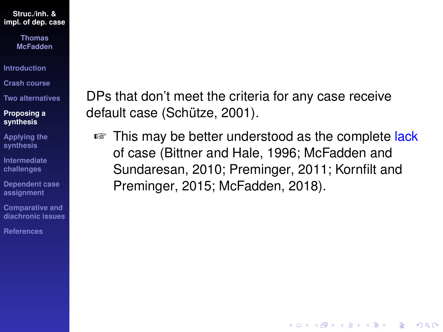> **Thomas McFadden**

**[Introduction](#page-1-0)**

**[Crash course](#page-3-0)**

**[Two alternatives](#page-15-0)**

**[Proposing a](#page-33-0) synthesis**

**[Applying the](#page-44-0) synthesis**

**[Intermediate](#page-67-0) challenges**

**[Dependent case](#page-82-0) assignment**

**Comparative and [diachronic issues](#page-96-0)**

**[References](#page-108-0)**

DPs that don't meet the criteria for any case receive default case [\(Schütze, 2001\)](#page-113-1).

■ This may be better understood as the complete lack of case [\(Bittner and Hale, 1996;](#page-109-1) [McFadden and](#page-112-0) [Sundaresan, 2010;](#page-112-0) [Preminger, 2011;](#page-113-2) [Kornfilt and](#page-110-0) [Preminger, 2015;](#page-110-0) [McFadden, 2018\)](#page-111-1).

**KOD KOD KED KED E VAN**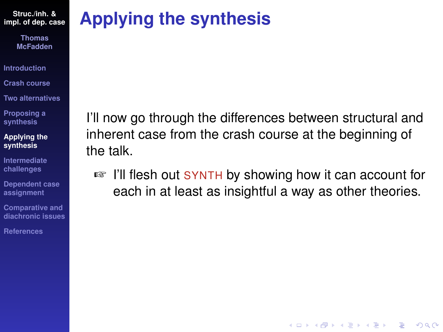> **Thomas McFadden**

**[Introduction](#page-1-0)**

**[Crash course](#page-3-0)**

**[Two alternatives](#page-15-0)**

**[Proposing a](#page-33-0) synthesis**

**[Applying the](#page-44-0) synthesis**

**[Intermediate](#page-67-0) challenges**

**[Dependent case](#page-82-0) assignment**

**Comparative and [diachronic issues](#page-96-0)**

**[References](#page-108-0)**

# <span id="page-44-0"></span>**Applying the synthesis**

I'll now go through the differences between structural and inherent case from the crash course at the beginning of the talk.

☞ I'll flesh out SYNTH by showing how it can account for each in at least as insightful a way as other theories.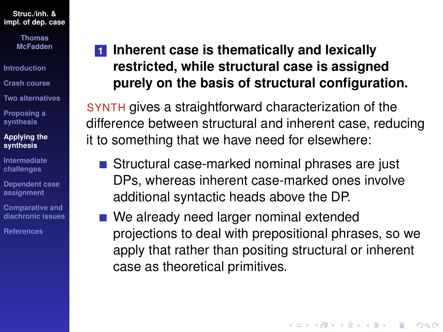> **Thomas McFadden**

**[Introduction](#page-1-0)**

**[Crash course](#page-3-0)**

**[Two alternatives](#page-15-0)**

**[Proposing a](#page-33-0) synthesis**

#### **[Applying the](#page-44-0) synthesis**

**[Intermediate](#page-67-0) challenges**

**[Dependent case](#page-82-0) assignment**

**Comparative and [diachronic issues](#page-96-0)**

**[References](#page-108-0)**

## **1 Inherent case is thematically and lexically restricted, while structural case is assigned purely on the basis of structural configuration.**

SYNTH gives a straightforward characterization of the difference between structural and inherent case, reducing it to something that we have need for elsewhere:

- Structural case-marked nominal phrases are just DPs, whereas inherent case-marked ones involve additional syntactic heads above the DP.
- We already need larger nominal extended projections to deal with prepositional phrases, so we apply that rather than positing structural or inherent case as theoretical primitives.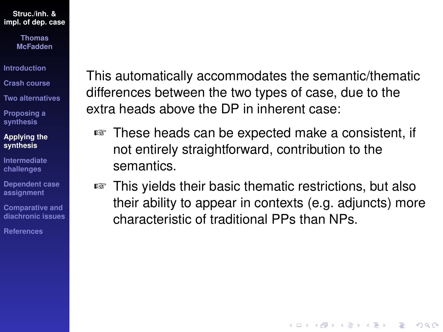> **Thomas McFadden**

**[Introduction](#page-1-0)**

**[Crash course](#page-3-0)**

**[Two alternatives](#page-15-0)**

**[Proposing a](#page-33-0) synthesis**

**[Applying the](#page-44-0) synthesis**

**[Intermediate](#page-67-0) challenges**

**[Dependent case](#page-82-0) assignment**

**Comparative and [diachronic issues](#page-96-0)**

**[References](#page-108-0)**

This automatically accommodates the semantic/thematic differences between the two types of case, due to the extra heads above the DP in inherent case:

- ☞ These heads can be expected make a consistent, if not entirely straightforward, contribution to the semantics.
- ☞ This yields their basic thematic restrictions, but also their ability to appear in contexts (e.g. adjuncts) more characteristic of traditional PPs than NPs.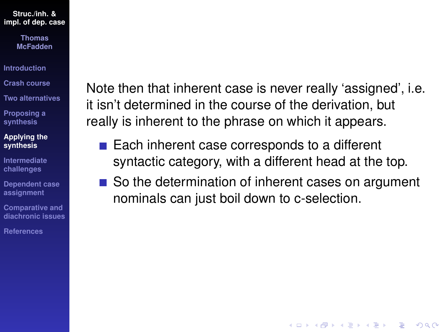> **Thomas McFadden**

**[Introduction](#page-1-0)**

**[Crash course](#page-3-0)**

**[Two alternatives](#page-15-0)**

**[Proposing a](#page-33-0) synthesis**

#### **[Applying the](#page-44-0) synthesis**

**[Intermediate](#page-67-0) challenges**

**[Dependent case](#page-82-0) assignment**

**Comparative and [diachronic issues](#page-96-0)**

**[References](#page-108-0)**

Note then that inherent case is never really 'assigned', i.e. it isn't determined in the course of the derivation, but really is inherent to the phrase on which it appears.

- $\blacksquare$  Each inherent case corresponds to a different syntactic category, with a different head at the top.
- So the determination of inherent cases on argument nominals can just boil down to c-selection.

**KORKARYKERKE PORCH**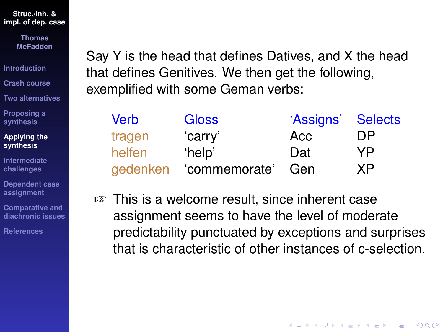> **Thomas McFadden**

**[Introduction](#page-1-0)**

**[Crash course](#page-3-0)**

**[Two alternatives](#page-15-0)**

**[Proposing a](#page-33-0) synthesis**

**[Applying the](#page-44-0) synthesis**

**[Intermediate](#page-67-0) challenges**

**[Dependent case](#page-82-0) assignment**

**Comparative and [diachronic issues](#page-96-0)**

**[References](#page-108-0)**

Say Y is the head that defines Datives, and X the head that defines Genitives. We then get the following, exemplified with some Geman verbs:

| <b>Verb</b> | <b>Gloss</b>  | 'Assigns' Selects |     |
|-------------|---------------|-------------------|-----|
| tragen      | 'carry'       | Acc               | DP. |
| helfen      | 'help'        | Dat               | YP. |
| gedenken    | 'commemorate' | Gen               | XP  |

☞ This is a welcome result, since inherent case assignment seems to have the level of moderate predictability punctuated by exceptions and surprises that is characteristic of other instances of c-selection.

**KOD KOD KED KED E VAN**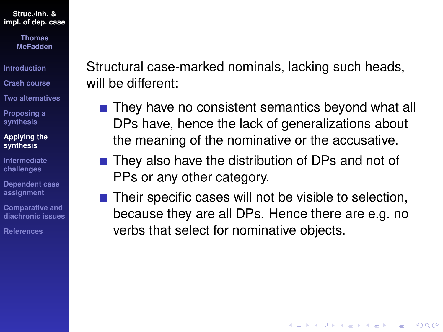> **Thomas McFadden**

**[Introduction](#page-1-0)**

**[Crash course](#page-3-0)**

**[Two alternatives](#page-15-0)**

**[Proposing a](#page-33-0) synthesis**

**[Applying the](#page-44-0) synthesis**

**[Intermediate](#page-67-0) challenges**

**[Dependent case](#page-82-0) assignment**

**Comparative and [diachronic issues](#page-96-0)**

**[References](#page-108-0)**

Structural case-marked nominals, lacking such heads, will be different:

- $\blacksquare$  They have no consistent semantics beyond what all DPs have, hence the lack of generalizations about the meaning of the nominative or the accusative.
- $\blacksquare$  They also have the distribution of DPs and not of PPs or any other category.
- $\blacksquare$  Their specific cases will not be visible to selection, because they are all DPs. Hence there are e.g. no verbs that select for nominative objects.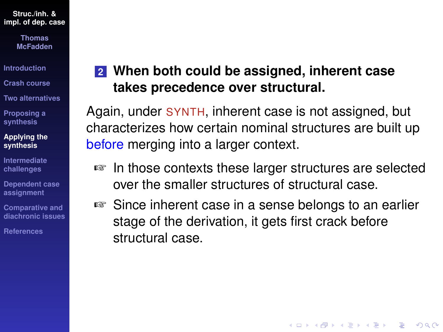> **Thomas McFadden**

**[Introduction](#page-1-0)**

**[Crash course](#page-3-0)**

**[Two alternatives](#page-15-0)**

**[Proposing a](#page-33-0) synthesis**

**[Applying the](#page-44-0) synthesis**

**[Intermediate](#page-67-0) challenges**

**[Dependent case](#page-82-0) assignment**

**Comparative and [diachronic issues](#page-96-0)**

**[References](#page-108-0)**

### **2 When both could be assigned, inherent case takes precedence over structural.**

Again, under SYNTH, inherent case is not assigned, but characterizes how certain nominal structures are built up before merging into a larger context.

- ☞ In those contexts these larger structures are selected over the smaller structures of structural case.
- ☞ Since inherent case in a sense belongs to an earlier stage of the derivation, it gets first crack before structural case.

**KORKARYKERKE PORCH**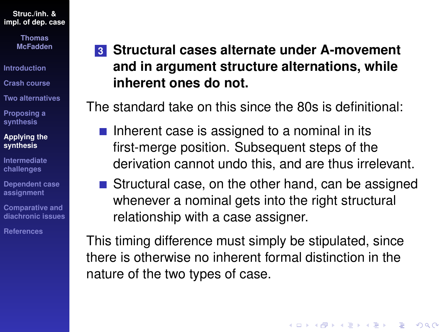> **Thomas McFadden**

**[Introduction](#page-1-0)**

**[Crash course](#page-3-0)**

**[Two alternatives](#page-15-0)**

**[Proposing a](#page-33-0) synthesis**

#### **[Applying the](#page-44-0) synthesis**

**[Intermediate](#page-67-0) challenges**

**[Dependent case](#page-82-0) assignment**

**Comparative and [diachronic issues](#page-96-0)**

**[References](#page-108-0)**

## **3 Structural cases alternate under A-movement and in argument structure alternations, while inherent ones do not.**

The standard take on this since the 80s is definitional:

- $\blacksquare$  Inherent case is assigned to a nominal in its first-merge position. Subsequent steps of the derivation cannot undo this, and are thus irrelevant.
- Structural case, on the other hand, can be assigned whenever a nominal gets into the right structural relationship with a case assigner.

**KORKARYKERKE PORCH** 

This timing difference must simply be stipulated, since there is otherwise no inherent formal distinction in the nature of the two types of case.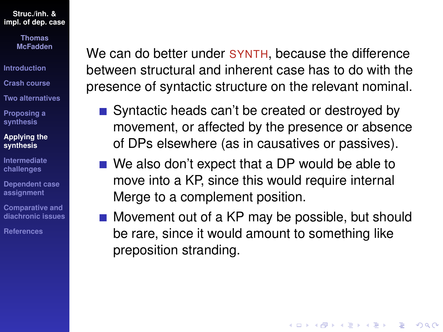> **Thomas McFadden**

**[Introduction](#page-1-0)**

**[Crash course](#page-3-0)**

**[Two alternatives](#page-15-0)**

**[Proposing a](#page-33-0) synthesis**

**[Applying the](#page-44-0) synthesis**

**[Intermediate](#page-67-0) challenges**

**[Dependent case](#page-82-0) assignment**

**Comparative and [diachronic issues](#page-96-0)**

**[References](#page-108-0)**

We can do better under **SYNTH**, because the difference between structural and inherent case has to do with the presence of syntactic structure on the relevant nominal.

- Syntactic heads can't be created or destroyed by movement, or affected by the presence or absence of DPs elsewhere (as in causatives or passives).
- We also don't expect that a DP would be able to move into a KP, since this would require internal Merge to a complement position.
- Movement out of a KP may be possible, but should be rare, since it would amount to something like preposition stranding.

**KOD KOD KED KED E VAN**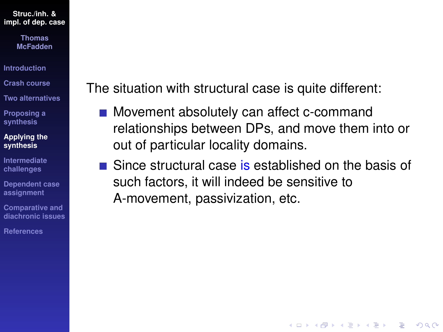> **Thomas McFadden**

**[Introduction](#page-1-0)**

**[Crash course](#page-3-0)**

**[Two alternatives](#page-15-0)**

**[Proposing a](#page-33-0) synthesis**

**[Applying the](#page-44-0) synthesis**

**[Intermediate](#page-67-0) challenges**

**[Dependent case](#page-82-0) assignment**

**Comparative and [diachronic issues](#page-96-0)**

**[References](#page-108-0)**

The situation with structural case is quite different:

- Movement absolutely can affect c-command relationships between DPs, and move them into or out of particular locality domains.
- $\blacksquare$  Since structural case is established on the basis of such factors, it will indeed be sensitive to A-movement, passivization, etc.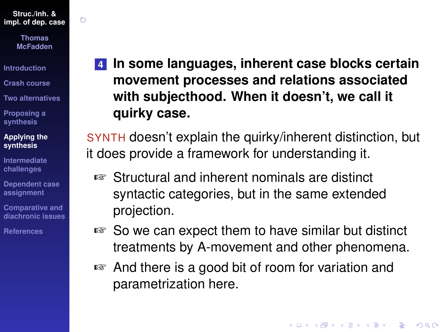$\zeta$ 

**Thomas McFadden**

**[Introduction](#page-1-0)**

**[Crash course](#page-3-0)**

**[Two alternatives](#page-15-0)**

**[Proposing a](#page-33-0) synthesis**

**[Applying the](#page-44-0) synthesis**

**[Intermediate](#page-67-0) challenges**

**[Dependent case](#page-82-0) assignment**

**Comparative and [diachronic issues](#page-96-0)**

**[References](#page-108-0)**

**4 In some languages, inherent case blocks certain movement processes and relations associated with subjecthood. When it doesn't, we call it quirky case.**

SYNTH doesn't explain the quirky/inherent distinction, but it does provide a framework for understanding it.

- ☞ Structural and inherent nominals are distinct syntactic categories, but in the same extended projection.
- ☞ So we can expect them to have similar but distinct treatments by A-movement and other phenomena.
- ☞ And there is a good bit of room for variation and parametrization here.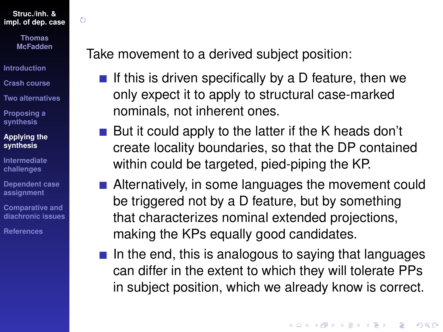$\zeta$ 

**Thomas McFadden**

**[Introduction](#page-1-0)**

**[Crash course](#page-3-0)**

**[Two alternatives](#page-15-0)**

**[Proposing a](#page-33-0) synthesis**

#### **[Applying the](#page-44-0) synthesis**

**[Intermediate](#page-67-0) challenges**

**[Dependent case](#page-82-0) assignment**

**Comparative and [diachronic issues](#page-96-0)**

**[References](#page-108-0)**

Take movement to a derived subject position:

- If this is driven specifically by a D feature, then we only expect it to apply to structural case-marked nominals, not inherent ones.
- But it could apply to the latter if the K heads don't create locality boundaries, so that the DP contained within could be targeted, pied-piping the KP.
- Alternatively, in some languages the movement could be triggered not by a D feature, but by something that characterizes nominal extended projections, making the KPs equally good candidates.
- $\blacksquare$  In the end, this is analogous to saying that languages can differ in the extent to which they will tolerate PPs in subject position, which we already know is correct.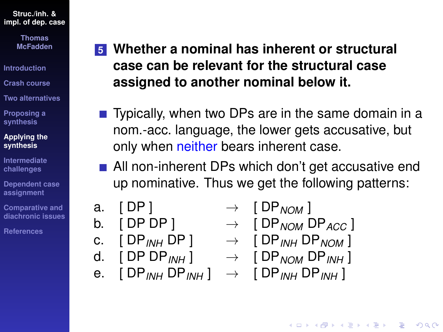> **Thomas McFadden**

**[Introduction](#page-1-0)**

**[Crash course](#page-3-0)**

**[Two alternatives](#page-15-0)**

**[Proposing a](#page-33-0) synthesis**

#### **[Applying the](#page-44-0) synthesis**

**[Intermediate](#page-67-0) challenges**

**[Dependent case](#page-82-0) assignment**

**Comparative and [diachronic issues](#page-96-0)**

**[References](#page-108-0)**

## **5 Whether a nominal has inherent or structural case can be relevant for the structural case assigned to another nominal below it.**

- Typically, when two DPs are in the same domain in a nom.-acc. language, the lower gets accusative, but only when neither bears inherent case.
- All non-inherent DPs which don't get accusative end up nominative. Thus we get the following patterns:
- a. [ DP ]
- b. [ DP DP ]
- c.  $[DP_{INH} DP] \rightarrow [DP_{INH} DP_{NOM}]$
- d.  $[DPDP_{IMH}] \rightarrow$
- e.  $[DP_{INH}DP_{INH}] \rightarrow [DP_{INH}DP_{INH}]$

$$
+ [DP_{NOM}]
$$

$$
\rightarrow \begin{bmatrix} DF_{NOM} & DF_{ACC} \end{bmatrix}
$$

$$
[UP_{NOM}UP_{INH}]
$$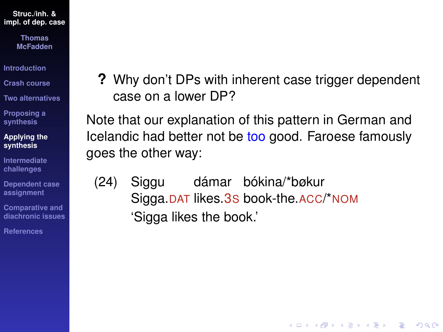> **Thomas McFadden**

**[Introduction](#page-1-0)**

**[Crash course](#page-3-0)**

**[Two alternatives](#page-15-0)**

**[Proposing a](#page-33-0) synthesis**

**[Applying the](#page-44-0) synthesis**

**[Intermediate](#page-67-0) challenges**

**[Dependent case](#page-82-0) assignment**

**Comparative and [diachronic issues](#page-96-0)**

**[References](#page-108-0)**

**?** Why don't DPs with inherent case trigger dependent case on a lower DP?

**KOD CONTRACT A BOAR KOD A CO** 

Note that our explanation of this pattern in German and Icelandic had better not be too good. Faroese famously goes the other way:

(24) Siggu Sigga.DAT likes.3S book-the.ACC/\*NOM dámar bókina/\*bøkur 'Sigga likes the book.'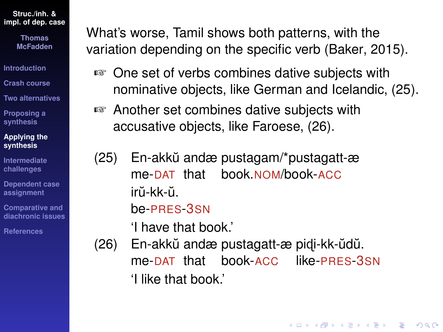> **Thomas McFadden**

**[Introduction](#page-1-0)**

**[Crash course](#page-3-0)**

**[Two alternatives](#page-15-0)**

**[Proposing a](#page-33-0) synthesis**

#### **[Applying the](#page-44-0) synthesis**

**[Intermediate](#page-67-0) challenges**

**[Dependent case](#page-82-0) assignment**

**Comparative and [diachronic issues](#page-96-0)**

**[References](#page-108-0)**

What's worse, Tamil shows both patterns, with the variation depending on the specific verb [\(Baker, 2015\)](#page-108-1).

- ☞ One set of verbs combines dative subjects with nominative objects, like German and Icelandic, [\(25\)](#page-58-0).
- ☞ Another set combines dative subjects with accusative objects, like Faroese, [\(26\)](#page-58-1).

<span id="page-58-0"></span>(25) En-akku˘ andæ pustagam/\*pustagatt-æ me-DAT that book.NOM/book-ACC irŭ-kk-ŭ.

### be-PRES-3SN

'I have that book.'

<span id="page-58-1"></span>(26) En-akkŭ andæ pustagatt-æ pidi-kk-ŭdŭ. me-DAT that book-ACC like-PRES-3SN 'I like that book.'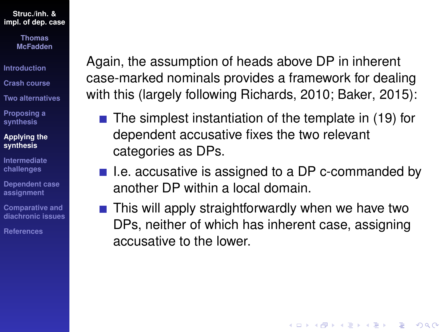> **Thomas McFadden**

**[Introduction](#page-1-0)**

**[Crash course](#page-3-0)**

**[Two alternatives](#page-15-0)**

**[Proposing a](#page-33-0) synthesis**

**[Applying the](#page-44-0) synthesis**

**[Intermediate](#page-67-0) challenges**

**[Dependent case](#page-82-0) assignment**

**Comparative and [diachronic issues](#page-96-0)**

**[References](#page-108-0)**

Again, the assumption of heads above DP in inherent case-marked nominals provides a framework for dealing with this (largely following [Richards, 2010;](#page-113-3) [Baker, 2015\)](#page-108-1):

- $\blacksquare$  The simplest instantiation of the template in [\(19\)](#page-39-0) for dependent accusative fixes the two relevant categories as DPs.
- $\blacksquare$  I.e. accusative is assigned to a DP c-commanded by another DP within a local domain.
- $\blacksquare$  This will apply straightforwardly when we have two DPs, neither of which has inherent case, assigning accusative to the lower.

**KORKARYKERKE PORCH**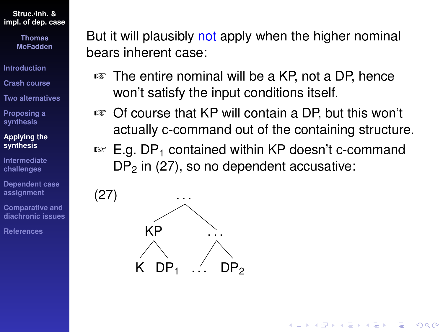> **Thomas McFadden**

**[Introduction](#page-1-0)**

**[Crash course](#page-3-0)**

**[Two alternatives](#page-15-0)**

**[Proposing a](#page-33-0) synthesis**

**[Applying the](#page-44-0) synthesis**

**[Intermediate](#page-67-0) challenges**

**[Dependent case](#page-82-0) assignment**

**Comparative and [diachronic issues](#page-96-0)**

**[References](#page-108-0)**

But it will plausibly not apply when the higher nominal bears inherent case:

- ☞ The entire nominal will be a KP, not a DP, hence won't satisfy the input conditions itself.
- ☞ Of course that KP will contain a DP, but this won't actually c-command out of the containing structure.
- $\mathbb{F}$  E.g. DP<sub>1</sub> contained within KP doesn't c-command  $DP<sub>2</sub>$  in [\(27\)](#page-60-0), so no dependent accusative:

<span id="page-60-0"></span>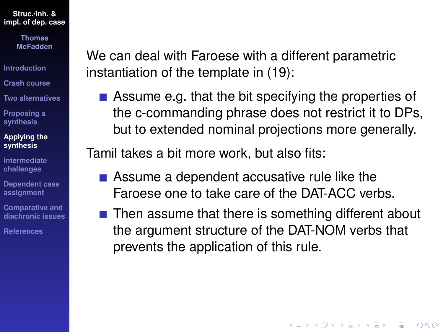> **Thomas McFadden**

- **[Introduction](#page-1-0)**
- **[Crash course](#page-3-0)**
- **[Two alternatives](#page-15-0)**
- **[Proposing a](#page-33-0) synthesis**

#### **[Applying the](#page-44-0) synthesis**

- **[Intermediate](#page-67-0) challenges**
- **[Dependent case](#page-82-0) assignment**
- **Comparative and [diachronic issues](#page-96-0)**
- **[References](#page-108-0)**

We can deal with Faroese with a different parametric instantiation of the template in [\(19\)](#page-39-0):

Assume e.g. that the bit specifying the properties of the c-commanding phrase does not restrict it to DPs, but to extended nominal projections more generally.

Tamil takes a bit more work, but also fits:

- Assume a dependent accusative rule like the Faroese one to take care of the DAT-ACC verbs.
- $\blacksquare$  Then assume that there is something different about the argument structure of the DAT-NOM verbs that prevents the application of this rule.

**KORKARYKERKE PORCH**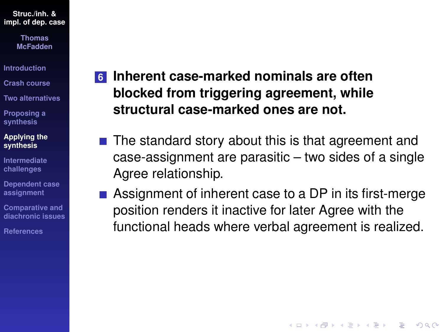> **Thomas McFadden**

**[Introduction](#page-1-0)**

**[Crash course](#page-3-0)**

**[Two alternatives](#page-15-0)**

**[Proposing a](#page-33-0) synthesis**

**[Applying the](#page-44-0) synthesis**

**[Intermediate](#page-67-0) challenges**

**[Dependent case](#page-82-0) assignment**

**Comparative and [diachronic issues](#page-96-0)**

**[References](#page-108-0)**

## **6 Inherent case-marked nominals are often blocked from triggering agreement, while structural case-marked ones are not.**

- $\blacksquare$  The standard story about this is that agreement and case-assignment are parasitic – two sides of a single Agree relationship.
- Assignment of inherent case to a DP in its first-merge position renders it inactive for later Agree with the functional heads where verbal agreement is realized.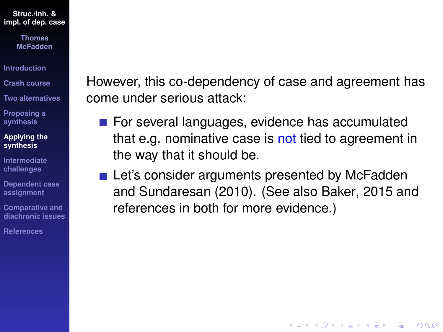> **Thomas McFadden**

**[Introduction](#page-1-0)**

- **[Crash course](#page-3-0)**
- **[Two alternatives](#page-15-0)**

**[Proposing a](#page-33-0) synthesis**

- **[Applying the](#page-44-0) synthesis**
- **[Intermediate](#page-67-0) challenges**
- **[Dependent case](#page-82-0) assignment**
- **Comparative and [diachronic issues](#page-96-0)**

**[References](#page-108-0)**

However, this co-dependency of case and agreement has come under serious attack:

- For several languages, evidence has accumulated that e.g. nominative case is not tied to agreement in the way that it should be.
- Let's consider arguments presented by [McFadden](#page-112-0) [and Sundaresan \(2010\)](#page-112-0). (See also [Baker, 2015](#page-108-1) and references in both for more evidence.)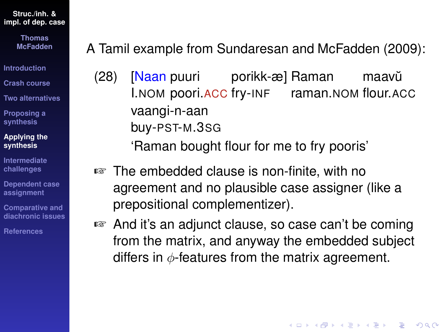> **Thomas McFadden**

**[Introduction](#page-1-0)**

**[Crash course](#page-3-0)**

**[Two alternatives](#page-15-0)**

**[Proposing a](#page-33-0) synthesis**

**[Applying the](#page-44-0) synthesis**

**[Intermediate](#page-67-0) challenges**

**[Dependent case](#page-82-0) assignment**

**Comparative and [diachronic issues](#page-96-0)**

**[References](#page-108-0)**

A Tamil example from [Sundaresan and McFadden \(2009\)](#page-114-0):

(28) [<mark>Naan</mark> puuri I.NOM poori.ACC fry-INF raman.NOM flour.ACC porikk-æ] Raman maavŭ vaangi-n-aan buy-PST-M.3SG

'Raman bought flour for me to fry pooris'

- ☞ The embedded clause is non-finite, with no agreement and no plausible case assigner (like a prepositional complementizer).
- ☞ And it's an adjunct clause, so case can't be coming from the matrix, and anyway the embedded subject differs in  $\phi$ -features from the matrix agreement.

**KORK ERKER ADAM ADA**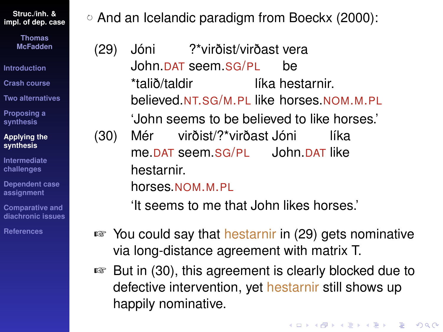> **Thomas McFadden**

**[Introduction](#page-1-0)**

**[Crash course](#page-3-0)**

**[Two alternatives](#page-15-0)**

**[Proposing a](#page-33-0) synthesis**

**[Applying the](#page-44-0) synthesis**

**[Intermediate](#page-67-0) challenges**

**[Dependent case](#page-82-0) assignment**

**Comparative and [diachronic issues](#page-96-0)**

**[References](#page-108-0)**

And an Icelandic paradigm from [Boeckx \(2000\)](#page-109-2):

<span id="page-65-0"></span>(29) Jóni John.DAT seem.SG/PL ?\*virðist/virðast vera be \*talið/taldir believed.NT.SG/M.PL like horses.NOM.M.PL líka hestarnir. 'John seems to be believed to like horses.' (30) Mér me.DAT seem.SG/PL John.DAT like virðist/?\*virðast Jóni líka hestarnir.

<span id="page-65-1"></span>horses.NOM.M.PL

'It seems to me that John likes horses.'

- ☞ You could say that hestarnir in [\(29\)](#page-65-0) gets nominative via long-distance agreement with matrix T.
- ☞ But in [\(30\)](#page-65-1), this agreement is clearly blocked due to defective intervention, yet hestarnir still shows up happily nominative.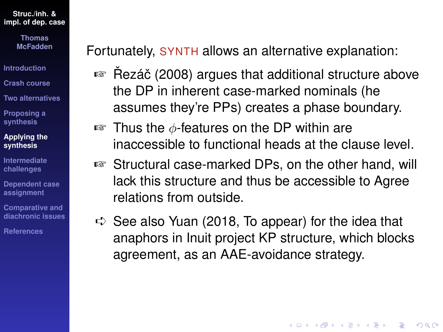> **Thomas McFadden**

**[Introduction](#page-1-0)**

**[Crash course](#page-3-0)**

**[Two alternatives](#page-15-0)**

**[Proposing a](#page-33-0) synthesis**

**[Applying the](#page-44-0) synthesis**

**[Intermediate](#page-67-0) challenges**

**[Dependent case](#page-82-0) assignment**

**Comparative and [diachronic issues](#page-96-0)**

**[References](#page-108-0)**

Fortunately, SYNTH allows an alternative explanation:

- Rezáč (2008) argues that additional structure above the DP in inherent case-marked nominals (he assumes they're PPs) creates a phase boundary.
- $\mathbb{F}$  Thus the  $\phi$ -features on the DP within are inaccessible to functional heads at the clause level.
- ☞ Structural case-marked DPs, on the other hand, will lack this structure and thus be accessible to Agree relations from outside.
- $\Rightarrow$  See also [Yuan \(2018,](#page-115-1) [To appear\)](#page-116-0) for the idea that anaphors in Inuit project KP structure, which blocks agreement, as an AAE-avoidance strategy.

**KORK ERKER ADAM ADA**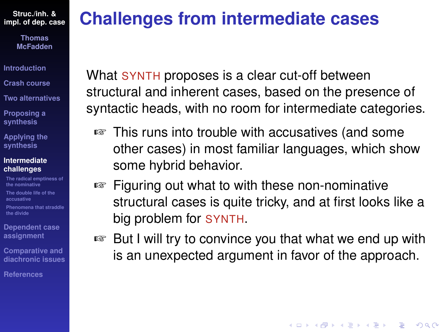> **Thomas McFadden**

**[Introduction](#page-1-0)**

**[Crash course](#page-3-0)**

**[Two alternatives](#page-15-0)**

**[Proposing a](#page-33-0) synthesis**

**[Applying the](#page-44-0) synthesis**

#### **[Intermediate](#page-67-0) challenges**

**[The radical emptiness of](#page-68-0) the nominative [The double life of the](#page-75-0)**

**accusative**

**[Phenomena that straddle](#page-80-0) the divide**

**[Dependent case](#page-82-0) assignment**

**Comparative and [diachronic issues](#page-96-0)**

**[References](#page-108-0)**

## <span id="page-67-0"></span>**Challenges from intermediate cases**

What SYNTH proposes is a clear cut-off between structural and inherent cases, based on the presence of syntactic heads, with no room for intermediate categories.

- ☞ This runs into trouble with accusatives (and some other cases) in most familiar languages, which show some hybrid behavior.
- ☞ Figuring out what to with these non-nominative structural cases is quite tricky, and at first looks like a big problem for SYNTH.
- ☞ But I will try to convince you that what we end up with is an unexpected argument in favor of the approach.

**KORKARA KERKER DAGA**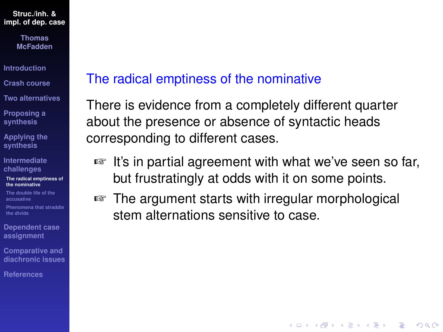> **Thomas McFadden**

**[Introduction](#page-1-0)**

**[Crash course](#page-3-0)**

**[Two alternatives](#page-15-0)**

**[Proposing a](#page-33-0) synthesis**

**[Applying the](#page-44-0) synthesis**

**[Intermediate](#page-67-0) challenges**

**[The radical emptiness of](#page-68-0) the nominative**

**[The double life of the](#page-75-0) accusative**

**[Phenomena that straddle](#page-80-0) the divide**

**[Dependent case](#page-82-0) assignment**

**Comparative and [diachronic issues](#page-96-0)**

**[References](#page-108-0)**

### <span id="page-68-0"></span>The radical emptiness of the nominative

There is evidence from a completely different quarter about the presence or absence of syntactic heads corresponding to different cases.

☞ It's in partial agreement with what we've seen so far, but frustratingly at odds with it on some points.

**KOD CONTRACT A BOAR KOD A CO** 

☞ The argument starts with irregular morphological stem alternations sensitive to case.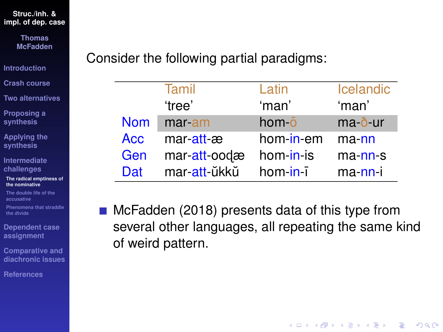**Thomas McFadden**

**[Introduction](#page-1-0)**

**[Crash course](#page-3-0)**

**[Two alternatives](#page-15-0)**

**[Proposing a](#page-33-0) synthesis**

**[Applying the](#page-44-0) synthesis**

**[Intermediate](#page-67-0) challenges**

**[The radical emptiness of](#page-68-0) the nominative**

**[The double life of the](#page-75-0) accusative**

**[Phenomena that straddle](#page-80-0) the divide**

**[Dependent case](#page-82-0) assignment**

**Comparative and [diachronic issues](#page-96-0)**

**[References](#page-108-0)**

Consider the following partial paradigms:

|            | Tamil        | Latin            | <b>Icelandic</b> |
|------------|--------------|------------------|------------------|
|            | 'tree'       | 'man'            | 'man'            |
| <b>Nom</b> | mar-am       | hom <sub>o</sub> | ma-ð-ur          |
| <b>Acc</b> | mar att æ    | hom-in-em        | ma-nn            |
| Gen        | mar att-oodæ | hom-in-is        | $ma$ -nn-s       |
| Dat        | mar att ŭkkŭ | $hom-in-i$       | ma-nn-i          |

[McFadden \(2018\)](#page-111-1) presents data of this type from several other languages, all repeating the same kind of weird pattern.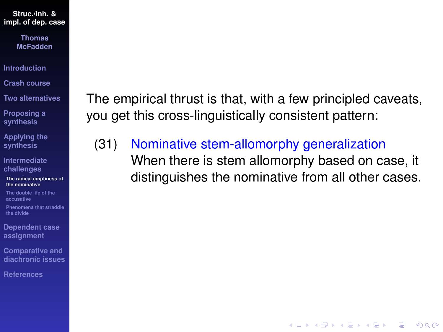> **Thomas McFadden**

**[Introduction](#page-1-0)**

**[Crash course](#page-3-0)**

**[Two alternatives](#page-15-0)**

**[Proposing a](#page-33-0) synthesis**

**[Applying the](#page-44-0) synthesis**

**[Intermediate](#page-67-0) challenges**

**[The radical emptiness of](#page-68-0) the nominative**

**[The double life of the](#page-75-0) accusative**

**[Phenomena that straddle](#page-80-0) the divide**

**[Dependent case](#page-82-0) assignment**

**Comparative and [diachronic issues](#page-96-0)**

**[References](#page-108-0)**

The empirical thrust is that, with a few principled caveats, you get this cross-linguistically consistent pattern:

(31) Nominative stem-allomorphy generalization When there is stem allomorphy based on case, it distinguishes the nominative from all other cases.

**KOD KOD KED KED E VAN**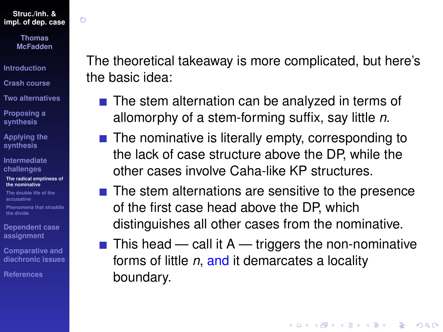$\zeta$ 

**Thomas McFadden**

**[Introduction](#page-1-0)**

**[Crash course](#page-3-0)**

**[Two alternatives](#page-15-0)**

**[Proposing a](#page-33-0) synthesis**

**[Applying the](#page-44-0) synthesis**

**[Intermediate](#page-67-0) challenges**

**[The radical emptiness of](#page-68-0) the nominative**

**[The double life of the](#page-75-0) accusative**

**[Phenomena that straddle](#page-80-0) the divide**

**[Dependent case](#page-82-0) assignment**

**Comparative and [diachronic issues](#page-96-0)**

**[References](#page-108-0)**

The theoretical takeaway is more complicated, but here's the basic idea:

- $\blacksquare$  The stem alternation can be analyzed in terms of allomorphy of a stem-forming suffix, say little *n*.
- $\blacksquare$  The nominative is literally empty, corresponding to the lack of case structure above the DP, while the other cases involve Caha-like KP structures.
- $\blacksquare$  The stem alternations are sensitive to the presence of the first case head above the DP, which distinguishes all other cases from the nominative.
- $\blacksquare$  This head call it A triggers the non-nominative forms of little *n*, and it demarcates a locality boundary.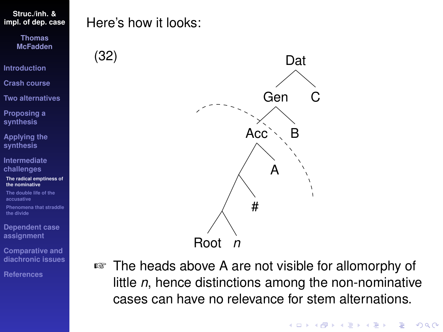**Thomas McFadden**

**[Introduction](#page-1-0)**

**[Crash course](#page-3-0)**

**[Two alternatives](#page-15-0)**

**[Proposing a](#page-33-0) synthesis**

**[Applying the](#page-44-0) synthesis**

**[Intermediate](#page-67-0) challenges**

**[The radical emptiness of](#page-68-0) the nominative**

**[The double life of the](#page-75-0) accusative**

**[Phenomena that straddle](#page-80-0) the divide**

**[Dependent case](#page-82-0) assignment**

**Comparative and [diachronic issues](#page-96-0)**

**[References](#page-108-0)**

## Here's how it looks:



☞ The heads above A are not visible for allomorphy of little *n*, hence distinctions among the non-nominative cases can have no relevance for stem alternations.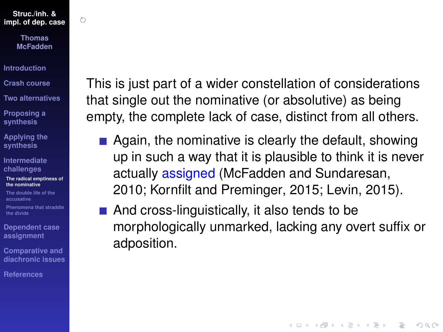$\zeta$ 

**Thomas McFadden**

**[Introduction](#page-1-0)**

**[Crash course](#page-3-0)**

**[Two alternatives](#page-15-0)**

**[Proposing a](#page-33-0) synthesis**

**[Applying the](#page-44-0) synthesis**

**[Intermediate](#page-67-0) challenges**

**[The radical emptiness of](#page-68-0) the nominative**

**[The double life of the](#page-75-0) accusative**

**[Phenomena that straddle](#page-80-0) the divide**

**[Dependent case](#page-82-0) assignment**

**Comparative and [diachronic issues](#page-96-0)**

**[References](#page-108-0)**

This is just part of a wider constellation of considerations that single out the nominative (or absolutive) as being empty, the complete lack of case, distinct from all others.

- $\blacksquare$  Again, the nominative is clearly the default, showing up in such a way that it is plausible to think it is never actually assigned [\(McFadden and Sundaresan,](#page-112-0) [2010;](#page-112-0) [Kornfilt and Preminger, 2015;](#page-110-0) [Levin, 2015\)](#page-110-1).
- And cross-linguistically, it also tends to be morphologically unmarked, lacking any overt suffix or adposition.

**KORK ERKER ADAM ADA**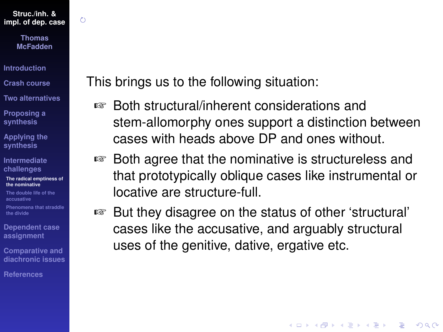$\zeta$ 

**Thomas McFadden**

**[Introduction](#page-1-0)**

**[Crash course](#page-3-0)**

**[Two alternatives](#page-15-0)**

**[Proposing a](#page-33-0) synthesis**

**[Applying the](#page-44-0) synthesis**

**[Intermediate](#page-67-0) challenges**

**[The radical emptiness of](#page-68-0) the nominative**

**[The double life of the](#page-75-0) accusative**

**[Phenomena that straddle](#page-80-0) the divide**

**[Dependent case](#page-82-0) assignment**

**Comparative and [diachronic issues](#page-96-0)**

**[References](#page-108-0)**

This brings us to the following situation:

- ☞ Both structural/inherent considerations and stem-allomorphy ones support a distinction between cases with heads above DP and ones without.
- ☞ Both agree that the nominative is structureless and that prototypically oblique cases like instrumental or locative are structure-full.
- ☞ But they disagree on the status of other 'structural' cases like the accusative, and arguably structural uses of the genitive, dative, ergative etc.

**KOD CONTRACT A BOAR KOD A CO**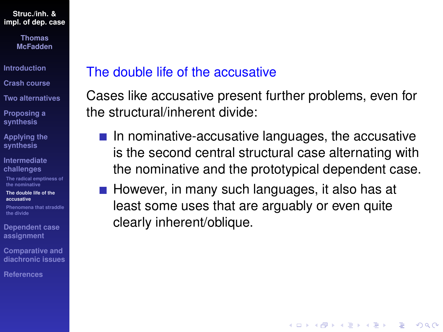> **Thomas McFadden**

**[Introduction](#page-1-0)**

**[Crash course](#page-3-0)**

**[Two alternatives](#page-15-0)**

**[Proposing a](#page-33-0) synthesis**

**[Applying the](#page-44-0) synthesis**

**[Intermediate](#page-67-0) challenges**

**[The radical emptiness of](#page-68-0) the nominative**

**[The double life of the](#page-75-0) accusative**

**[Phenomena that straddle](#page-80-0) the divide**

**[Dependent case](#page-82-0) assignment**

**Comparative and [diachronic issues](#page-96-0)**

**[References](#page-108-0)**

## <span id="page-75-0"></span>The double life of the accusative

Cases like accusative present further problems, even for the structural/inherent divide:

 $\blacksquare$  In nominative-accusative languages, the accusative is the second central structural case alternating with the nominative and the prototypical dependent case.

**KORK ERKER ADAM ADA** 

 $\blacksquare$  However, in many such languages, it also has at least some uses that are arguably or even quite clearly inherent/oblique.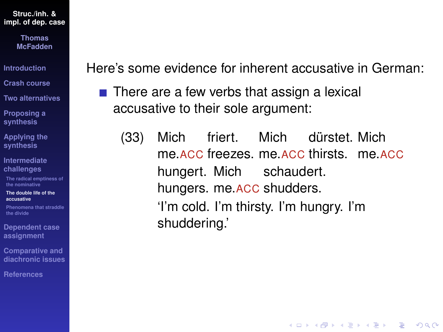> **Thomas McFadden**

**[Introduction](#page-1-0)**

**[Crash course](#page-3-0)**

**[Two alternatives](#page-15-0)**

**[Proposing a](#page-33-0) synthesis**

**[Applying the](#page-44-0) synthesis**

**[Intermediate](#page-67-0) challenges**

**[The radical emptiness of](#page-68-0) the nominative**

**[The double life of the](#page-75-0) accusative**

**[Phenomena that straddle](#page-80-0) the divide**

**[Dependent case](#page-82-0) assignment**

**Comparative and [diachronic issues](#page-96-0)**

**[References](#page-108-0)**

Here's some evidence for inherent accusative in German:

- $\blacksquare$  There are a few verbs that assign a lexical accusative to their sole argument:
	- (33) Mich me.acc freezes. me.acc thirsts. me.acc friert. Mich dürstet. Mich hungert. Mich schaudert. hungers. me.ACC shudders. 'I'm cold. I'm thirsty. I'm hungry. I'm shuddering.'

KEL KALEY KEY E NAG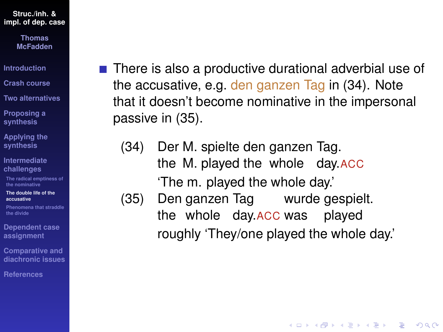> **Thomas McFadden**

**[Introduction](#page-1-0)**

**[Crash course](#page-3-0)**

**[Two alternatives](#page-15-0)**

**[Proposing a](#page-33-0) synthesis**

**[Applying the](#page-44-0) synthesis**

**[Intermediate](#page-67-0) challenges**

**[The radical emptiness of](#page-68-0) the nominative**

**[The double life of the](#page-75-0) accusative**

**[Phenomena that straddle](#page-80-0) the divide**

**[Dependent case](#page-82-0) assignment**

**Comparative and [diachronic issues](#page-96-0)**

**[References](#page-108-0)**

- There is also a productive durational adverbial use of the accusative, e.g. den ganzen Tag in [\(34\)](#page-77-0). Note that it doesn't become nominative in the impersonal passive in [\(35\)](#page-77-1).
	- $(34)$ the M. played the whole day.ACC M. spielte den ganzen Tag. 'The m. played the whole day.'
	- (35) Den ganzen Tag wurde gespielt. the whole day.ACCwas played roughly 'They/one played the whole day.'

<span id="page-77-1"></span><span id="page-77-0"></span>**KORK ERKER ADAM ADA**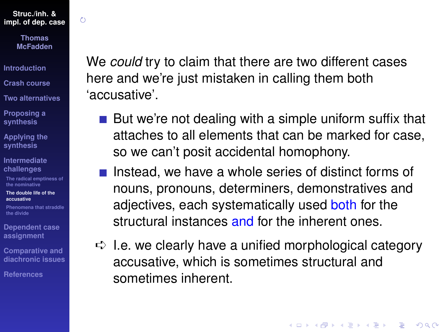$\zeta$ 

**Thomas McFadden**

**[Introduction](#page-1-0)**

**[Crash course](#page-3-0)**

**[Two alternatives](#page-15-0)**

**[Proposing a](#page-33-0) synthesis**

**[Applying the](#page-44-0) synthesis**

**[Intermediate](#page-67-0) challenges**

**[The radical emptiness of](#page-68-0) the nominative**

**[The double life of the](#page-75-0) accusative**

**[Phenomena that straddle](#page-80-0) the divide**

**[Dependent case](#page-82-0) assignment**

**Comparative and [diachronic issues](#page-96-0)**

**[References](#page-108-0)**

We *could* try to claim that there are two different cases here and we're just mistaken in calling them both 'accusative'.

- But we're not dealing with a simple uniform suffix that attaches to all elements that can be marked for case, so we can't posit accidental homophony.
- Instead, we have a whole series of distinct forms of nouns, pronouns, determiners, demonstratives and adjectives, each systematically used both for the structural instances and for the inherent ones.
- $\Rightarrow$  I.e. we clearly have a unified morphological category accusative, which is sometimes structural and sometimes inherent.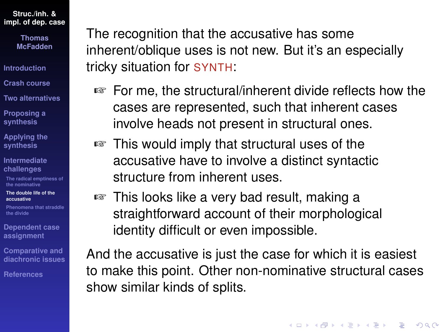> **Thomas McFadden**

- **[Introduction](#page-1-0)**
- **[Crash course](#page-3-0)**
- **[Two alternatives](#page-15-0)**
- **[Proposing a](#page-33-0) synthesis**
- **[Applying the](#page-44-0) synthesis**
- **[Intermediate](#page-67-0) challenges**
- **[The radical emptiness of](#page-68-0) the nominative**
- **[The double life of the](#page-75-0) accusative**
- **[Phenomena that straddle](#page-80-0) the divide**
- **[Dependent case](#page-82-0) assignment**
- **Comparative and [diachronic issues](#page-96-0)**
- **[References](#page-108-0)**

The recognition that the accusative has some inherent/oblique uses is not new. But it's an especially tricky situation for SYNTH:

- ☞ For me, the structural/inherent divide reflects how the cases are represented, such that inherent cases involve heads not present in structural ones.
- ☞ This would imply that structural uses of the accusative have to involve a distinct syntactic structure from inherent uses.
- ☞ This looks like a very bad result, making a straightforward account of their morphological identity difficult or even impossible.

And the accusative is just the case for which it is easiest to make this point. Other non-nominative structural cases show similar kinds of splits.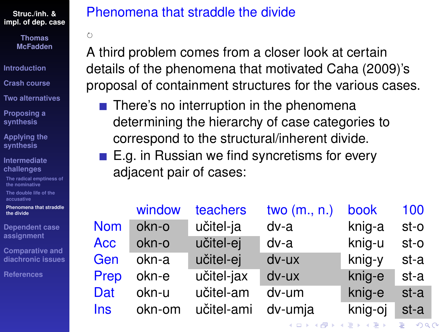> **Thomas McFadden**

 $\zeta$ 

**[Introduction](#page-1-0)**

**[Crash course](#page-3-0)**

**[Two alternatives](#page-15-0)**

**[Proposing a](#page-33-0) synthesis**

**[Applying the](#page-44-0) synthesis**

**[Intermediate](#page-67-0) challenges**

**[The radical emptiness of](#page-68-0) the nominative**

**[The double life of the](#page-75-0) accusative**

**[Phenomena that straddle](#page-80-0) the divide**

**[Dependent case](#page-82-0) assignment**

**Comparative and [diachronic issues](#page-96-0)**

**[References](#page-108-0)**

# <span id="page-80-0"></span>Phenomena that straddle the divide

A third problem comes from a closer look at certain details of the phenomena that motivated [Caha \(2009\)](#page-109-0)'s proposal of containment structures for the various cases.

- $\blacksquare$  There's no interruption in the phenomena determining the hierarchy of case categories to correspond to the structural/inherent divide.
- $\blacksquare$  E.g. in Russian we find syncretisms for every adjacent pair of cases:

|            | window | teachers   | two $(m., n.)$ | book    | 100  |
|------------|--------|------------|----------------|---------|------|
| <b>Nom</b> | okn-o  | učitel-ja  | dv-a           | knig-a  | st-o |
| <b>Acc</b> | okn-o  | učitel-ej  | dv-a           | knig-u  | st-o |
| Gen        | okn-a  | učitel-ej  | dv-ux          | knig-y  | st-a |
| Prep       | okn-e  | učitel-jax | dv-ux          | knig-e  | st-a |
| Dat        | okn-u  | učitel-am  | dv-um          | knig-e  | st-a |
| <b>Ins</b> | okn-om | učitel-ami | dv-umja        | knig-oj | st-a |

イロト イ押 トイヨ トイヨ トーヨー

 $\Omega$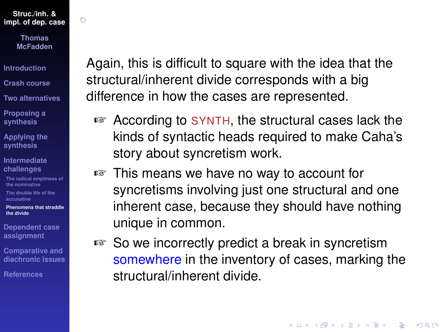$\zeta$ 

**Thomas McFadden**

**[Introduction](#page-1-0)**

**[Crash course](#page-3-0)**

**[Two alternatives](#page-15-0)**

**[Proposing a](#page-33-0) synthesis**

**[Applying the](#page-44-0) synthesis**

**[Intermediate](#page-67-0) challenges**

**[The radical emptiness of](#page-68-0) the nominative**

**[The double life of the](#page-75-0) accusative**

**[Phenomena that straddle](#page-80-0) the divide**

**[Dependent case](#page-82-0) assignment**

**Comparative and [diachronic issues](#page-96-0)**

**[References](#page-108-0)**

Again, this is difficult to square with the idea that the structural/inherent divide corresponds with a big difference in how the cases are represented.

- ☞ According to SYNTH, the structural cases lack the kinds of syntactic heads required to make Caha's story about syncretism work.
- ☞ This means we have no way to account for syncretisms involving just one structural and one inherent case, because they should have nothing unique in common.
- ☞ So we incorrectly predict a break in syncretism somewhere in the inventory of cases, marking the structural/inherent divide.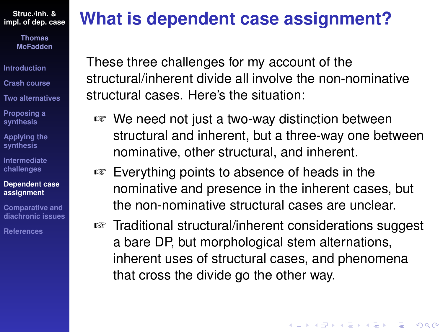> **Thomas McFadden**

**[Introduction](#page-1-0)**

**[Crash course](#page-3-0)**

**[Two alternatives](#page-15-0)**

**[Proposing a](#page-33-0) synthesis**

**[Applying the](#page-44-0) synthesis**

**[Intermediate](#page-67-0) challenges**

**[Dependent case](#page-82-0) assignment**

**Comparative and [diachronic issues](#page-96-0)**

**[References](#page-108-0)**

# <span id="page-82-0"></span>**What is dependent case assignment?**

These three challenges for my account of the structural/inherent divide all involve the non-nominative structural cases. Here's the situation:

- ☞ We need not just a two-way distinction between structural and inherent, but a three-way one between nominative, other structural, and inherent.
- ☞ Everything points to absence of heads in the nominative and presence in the inherent cases, but the non-nominative structural cases are unclear.
- ☞ Traditional structural/inherent considerations suggest a bare DP, but morphological stem alternations, inherent uses of structural cases, and phenomena that cross the divide go the other way.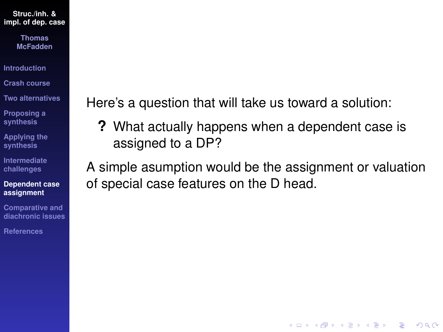#### **Thomas McFadden**

**[Introduction](#page-1-0)**

**[Crash course](#page-3-0)**

**[Two alternatives](#page-15-0)**

**[Proposing a](#page-33-0) synthesis**

**[Applying the](#page-44-0) synthesis**

**[Intermediate](#page-67-0) challenges**

**[Dependent case](#page-82-0) assignment**

**Comparative and [diachronic issues](#page-96-0)**

**[References](#page-108-0)**

Here's a question that will take us toward a solution:

**?** What actually happens when a dependent case is assigned to a DP?

A simple asumption would be the assignment or valuation of special case features on the D head.

**KOD CONTRACT A BOAR KOD A CO**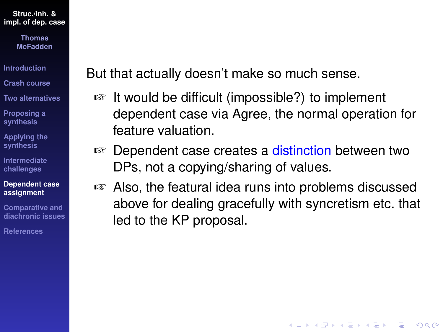> **Thomas McFadden**

**[Introduction](#page-1-0)**

**[Crash course](#page-3-0)**

**[Two alternatives](#page-15-0)**

**[Proposing a](#page-33-0) synthesis**

**[Applying the](#page-44-0) synthesis**

**[Intermediate](#page-67-0) challenges**

**[Dependent case](#page-82-0) assignment**

**Comparative and [diachronic issues](#page-96-0)**

**[References](#page-108-0)**

But that actually doesn't make so much sense.

- ☞ It would be difficult (impossible?) to implement dependent case via Agree, the normal operation for feature valuation.
- ☞ Dependent case creates a distinction between two DPs, not a copying/sharing of values.
- ☞ Also, the featural idea runs into problems discussed above for dealing gracefully with syncretism etc. that led to the KP proposal.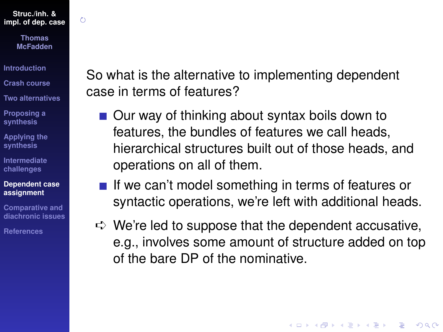$\zeta$ 

**Thomas McFadden**

**[Introduction](#page-1-0)**

**[Crash course](#page-3-0)**

**[Two alternatives](#page-15-0)**

**[Proposing a](#page-33-0) synthesis**

**[Applying the](#page-44-0) synthesis**

**[Intermediate](#page-67-0) challenges**

**[Dependent case](#page-82-0) assignment**

**Comparative and [diachronic issues](#page-96-0)**

**[References](#page-108-0)**

So what is the alternative to implementing dependent case in terms of features?

- Our way of thinking about syntax boils down to features, the bundles of features we call heads, hierarchical structures built out of those heads, and operations on all of them.
- $\blacksquare$  If we can't model something in terms of features or syntactic operations, we're left with additional heads.
- $\Rightarrow$  We're led to suppose that the dependent accusative, e.g., involves some amount of structure added on top of the bare DP of the nominative.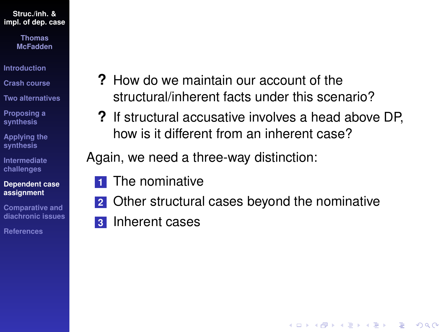> **Thomas McFadden**

**[Introduction](#page-1-0)**

**[Crash course](#page-3-0)**

**[Two alternatives](#page-15-0)**

**[Proposing a](#page-33-0) synthesis**

**[Applying the](#page-44-0) synthesis**

**[Intermediate](#page-67-0) challenges**

**[Dependent case](#page-82-0) assignment**

**Comparative and [diachronic issues](#page-96-0)**

**[References](#page-108-0)**

- **?** How do we maintain our account of the structural/inherent facts under this scenario?
- **?** If structural accusative involves a head above DP, how is it different from an inherent case?

Again, we need a three-way distinction:

- **1** The nominative
- **2** Other structural cases beyond the nominative

**KORKARYKERKE PORCH** 

**3** Inherent cases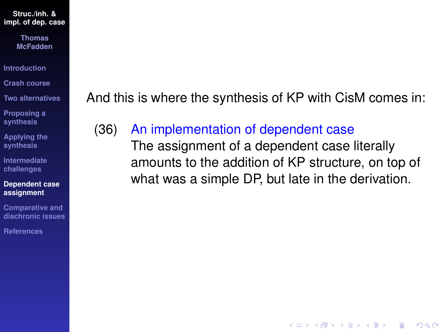> **Thomas McFadden**

**[Introduction](#page-1-0)**

**[Crash course](#page-3-0)**

**[Two alternatives](#page-15-0)**

**[Proposing a](#page-33-0) synthesis**

**[Applying the](#page-44-0) synthesis**

**[Intermediate](#page-67-0) challenges**

**[Dependent case](#page-82-0) assignment**

**Comparative and [diachronic issues](#page-96-0)**

**[References](#page-108-0)**

And this is where the synthesis of KP with CisM comes in:

<span id="page-87-0"></span>(36) An implementation of dependent case

The assignment of a dependent case literally amounts to the addition of KP structure, on top of what was a simple DP, but late in the derivation.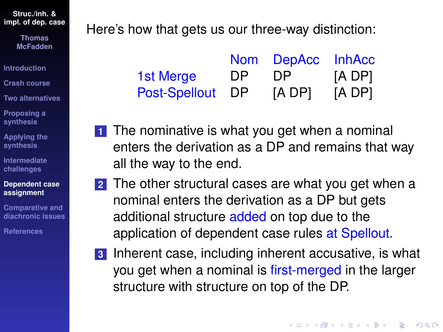**Thomas McFadden**

**[Introduction](#page-1-0)**

**[Crash course](#page-3-0)**

**[Two alternatives](#page-15-0)**

**[Proposing a](#page-33-0) synthesis**

**[Applying the](#page-44-0) synthesis**

**[Intermediate](#page-67-0) challenges**

#### **[Dependent case](#page-82-0) assignment**

**Comparative and [diachronic issues](#page-96-0)**

**[References](#page-108-0)**

Here's how that gets us our three-way distinction:

|                      |     | Nom DepAcc InhAcc |        |
|----------------------|-----|-------------------|--------|
| 1st Merge            | DP. | DP.               | [A DP] |
| <b>Post-Spellout</b> | DP. | [A DP]            | [A DP] |

- **1** The nominative is what you get when a nominal enters the derivation as a DP and remains that way all the way to the end.
- **2** The other structural cases are what you get when a nominal enters the derivation as a DP but gets additional structure added on top due to the application of dependent case rules at Spellout.
- **3** Inherent case, including inherent accusative, is what you get when a nominal is first-merged in the larger structure with structure on top of the DP.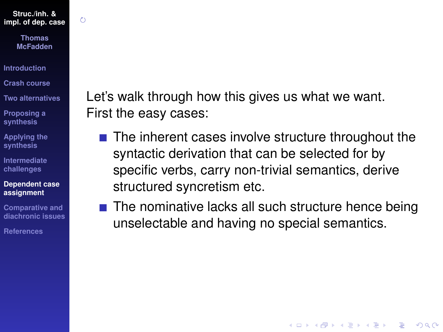$\zeta$ 

**Thomas McFadden**

**[Introduction](#page-1-0)**

**[Crash course](#page-3-0)**

**[Two alternatives](#page-15-0)**

**[Proposing a](#page-33-0) synthesis**

**[Applying the](#page-44-0) synthesis**

**[Intermediate](#page-67-0) challenges**

**[Dependent case](#page-82-0) assignment**

**Comparative and [diachronic issues](#page-96-0)**

**[References](#page-108-0)**

Let's walk through how this gives us what we want. First the easy cases:

- $\blacksquare$  The inherent cases involve structure throughout the syntactic derivation that can be selected for by specific verbs, carry non-trivial semantics, derive structured syncretism etc.
- $\blacksquare$  The nominative lacks all such structure hence being unselectable and having no special semantics.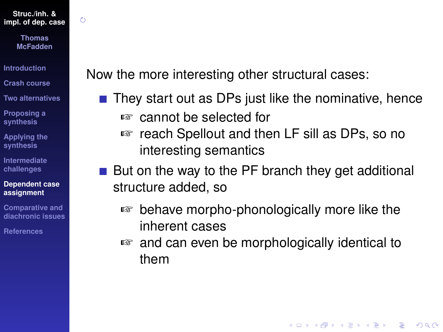O

**Thomas McFadden**

**[Introduction](#page-1-0)**

**[Crash course](#page-3-0)**

**[Two alternatives](#page-15-0)**

**[Proposing a](#page-33-0) synthesis**

**[Applying the](#page-44-0) synthesis**

**[Intermediate](#page-67-0) challenges**

**[Dependent case](#page-82-0) assignment**

**Comparative and [diachronic issues](#page-96-0)**

**[References](#page-108-0)**

Now the more interesting other structural cases:

- $\blacksquare$  They start out as DPs just like the nominative, hence ☞ cannot be selected for
	- ☞ reach Spellout and then LF sill as DPs, so no interesting semantics
- But on the way to the PF branch they get additional structure added, so
	- ☞ behave morpho-phonologically more like the inherent cases
	- ☞ and can even be morphologically identical to them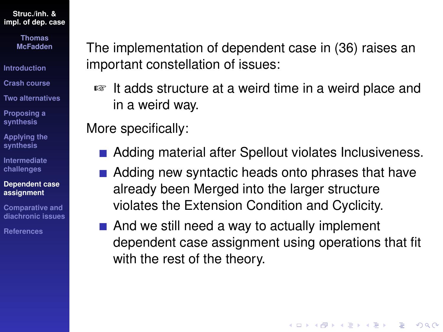> **Thomas McFadden**

**[Introduction](#page-1-0)**

**[Crash course](#page-3-0)**

**[Two alternatives](#page-15-0)**

**[Proposing a](#page-33-0) synthesis**

**[Applying the](#page-44-0) synthesis**

**[Intermediate](#page-67-0) challenges**

**[Dependent case](#page-82-0) assignment**

**Comparative and [diachronic issues](#page-96-0)**

**[References](#page-108-0)**

The implementation of dependent case in [\(36\)](#page-87-0) raises an important constellation of issues:

☞ It adds structure at a weird time in a weird place and in a weird way.

More specifically:

- Adding material after Spellout violates Inclusiveness.
- Adding new syntactic heads onto phrases that have already been Merged into the larger structure violates the Extension Condition and Cyclicity.
- $\blacksquare$  And we still need a way to actually implement dependent case assignment using operations that fit with the rest of the theory.

**KORK ERKER ADAM ADA**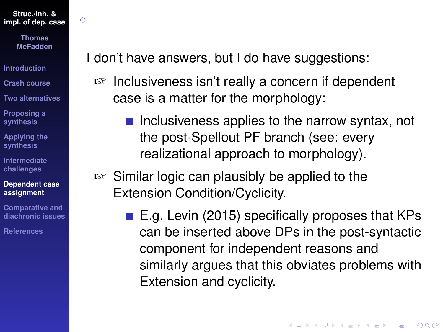$\zeta$ 

**Thomas McFadden**

**[Introduction](#page-1-0)**

**[Crash course](#page-3-0)**

**[Two alternatives](#page-15-0)**

**[Proposing a](#page-33-0) synthesis**

**[Applying the](#page-44-0) synthesis**

**[Intermediate](#page-67-0) challenges**

**[Dependent case](#page-82-0) assignment**

**Comparative and [diachronic issues](#page-96-0)**

**[References](#page-108-0)**

I don't have answers, but I do have suggestions:

- ☞ Inclusiveness isn't really a concern if dependent case is a matter for the morphology:
	- $\blacksquare$  Inclusiveness applies to the narrow syntax, not the post-Spellout PF branch (see: every realizational approach to morphology).
- ☞ Similar logic can plausibly be applied to the Extension Condition/Cyclicity.
	- $\blacksquare$  E.g. [Levin \(2015\)](#page-110-1) specifically proposes that KPs can be inserted above DPs in the post-syntactic component for independent reasons and similarly argues that this obviates problems with Extension and cyclicity.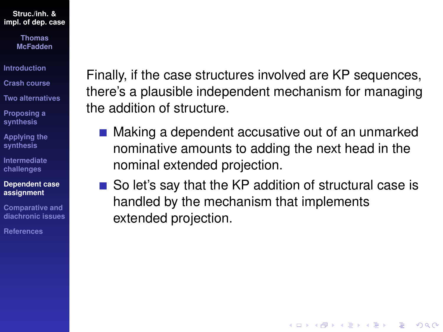> **Thomas McFadden**

**[Introduction](#page-1-0)**

**[Crash course](#page-3-0)**

**[Two alternatives](#page-15-0)**

**[Proposing a](#page-33-0) synthesis**

**[Applying the](#page-44-0) synthesis**

**[Intermediate](#page-67-0) challenges**

#### **[Dependent case](#page-82-0) assignment**

**Comparative and [diachronic issues](#page-96-0)**

**[References](#page-108-0)**

Finally, if the case structures involved are KP sequences, there's a plausible independent mechanism for managing the addition of structure.

- Making a dependent accusative out of an unmarked nominative amounts to adding the next head in the nominal extended projection.
- So let's say that the KP addition of structural case is handled by the mechanism that implements extended projection.

**KORKARYKERKE PORCH**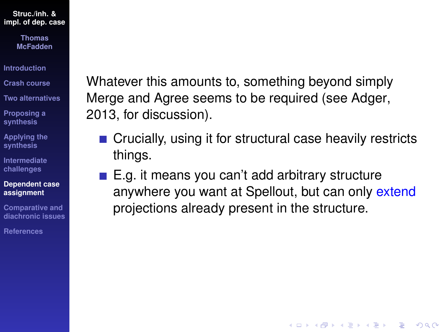> **Thomas McFadden**

**[Introduction](#page-1-0)**

**[Crash course](#page-3-0)**

**[Two alternatives](#page-15-0)**

**[Proposing a](#page-33-0) synthesis**

**[Applying the](#page-44-0) synthesis**

**[Intermediate](#page-67-0) challenges**

**[Dependent case](#page-82-0) assignment**

**Comparative and [diachronic issues](#page-96-0)**

**[References](#page-108-0)**

Whatever this amounts to, something beyond simply Merge and Agree seems to be required (see [Adger,](#page-108-1) [2013,](#page-108-1) for discussion).

- Crucially, using it for structural case heavily restricts things.
- $\blacksquare$  E.g. it means you can't add arbitrary structure anywhere you want at Spellout, but can only extend projections already present in the structure.

**KOD CONTRACT A BOAR KOD A CO**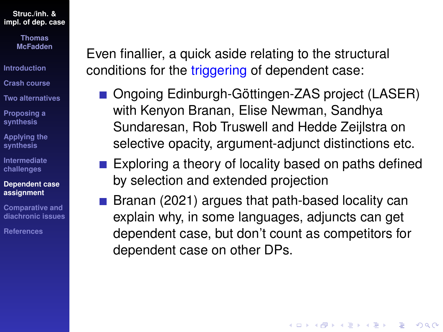> **Thomas McFadden**

**[Introduction](#page-1-0)**

**[Crash course](#page-3-0)**

**[Two alternatives](#page-15-0)**

**[Proposing a](#page-33-0) synthesis**

**[Applying the](#page-44-0) synthesis**

**[Intermediate](#page-67-0) challenges**

**[Dependent case](#page-82-0) assignment**

**Comparative and [diachronic issues](#page-96-0)**

**[References](#page-108-0)**

Even finallier, a quick aside relating to the structural conditions for the triggering of dependent case:

- Ongoing Edinburgh-Göttingen-ZAS project (LASER) with Kenyon Branan, Elise Newman, Sandhya Sundaresan, Rob Truswell and Hedde Zeijlstra on selective opacity, argument-adjunct distinctions etc.
- $\blacksquare$  Exploring a theory of locality based on paths defined by selection and extended projection
- [Branan \(2021\)](#page-109-1) argues that path-based locality can explain why, in some languages, adjuncts can get dependent case, but don't count as competitors for dependent case on other DPs.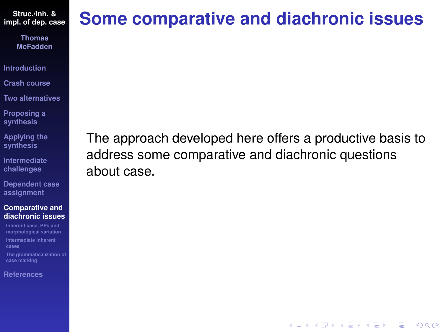> **Thomas McFadden**

**[Introduction](#page-1-0)**

**[Crash course](#page-3-0)**

**[Two alternatives](#page-15-0)**

**[Proposing a](#page-33-0) synthesis**

**[Applying the](#page-44-0) synthesis**

**[Intermediate](#page-67-0) challenges**

**[Dependent case](#page-82-0) assignment**

#### **Comparative and [diachronic issues](#page-96-0)**

**Inherent case, PPs and [morphological variation](#page-97-0) [Intermediate inherent](#page-99-0) cases [The grammaticalization of](#page-106-0)**

**case marking**

**[References](#page-108-0)**

# <span id="page-96-0"></span>**Some comparative and diachronic issues**

The approach developed here offers a productive basis to address some comparative and diachronic questions about case.

**KOD CONTRACT A BOAR KOD A CO**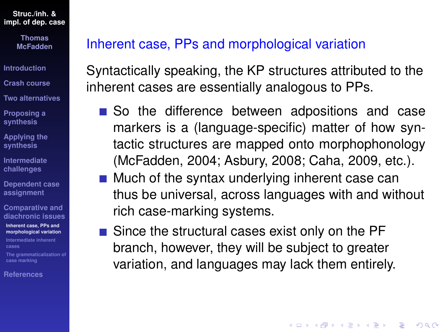> **Thomas McFadden**

**[Introduction](#page-1-0)**

**[Crash course](#page-3-0)**

**[Two alternatives](#page-15-0)**

**[Proposing a](#page-33-0) synthesis**

**[Applying the](#page-44-0) synthesis**

**[Intermediate](#page-67-0) challenges**

**[Dependent case](#page-82-0) assignment**

**Comparative and [diachronic issues](#page-96-0)**

**Inherent case, PPs and [morphological variation](#page-97-0)**

**[Intermediate inherent](#page-99-0) cases**

**[The grammaticalization of](#page-106-0) case marking**

**[References](#page-108-0)**

### <span id="page-97-0"></span>Inherent case, PPs and morphological variation

Syntactically speaking, the KP structures attributed to the inherent cases are essentially analogous to PPs.

- So the difference between adpositions and case markers is a (language-specific) matter of how syntactic structures are mapped onto morphophonology [\(McFadden, 2004;](#page-111-0) [Asbury, 2008;](#page-108-2) [Caha, 2009,](#page-109-0) etc.).
- $\blacksquare$  Much of the syntax underlying inherent case can thus be universal, across languages with and without rich case-marking systems.
- Since the structural cases exist only on the PF branch, however, they will be subject to greater variation, and languages may lack them entirely.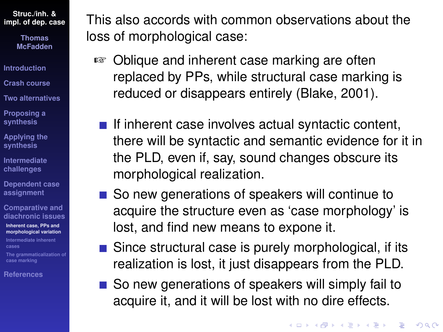> **Thomas McFadden**

**[Introduction](#page-1-0)**

**[Crash course](#page-3-0)**

**[Two alternatives](#page-15-0)**

**[Proposing a](#page-33-0) synthesis**

**[Applying the](#page-44-0) synthesis**

**[Intermediate](#page-67-0) challenges**

**[Dependent case](#page-82-0) assignment**

**Comparative and [diachronic issues](#page-96-0)**

**Inherent case, PPs and [morphological variation](#page-97-0)**

**[Intermediate inherent](#page-99-0) cases**

**[The grammaticalization of](#page-106-0) case marking**

**[References](#page-108-0)**

This also accords with common observations about the loss of morphological case:

- ☞ Oblique and inherent case marking are often replaced by PPs, while structural case marking is reduced or disappears entirely [\(Blake, 2001\)](#page-109-2).
	- $\blacksquare$  If inherent case involves actual syntactic content, there will be syntactic and semantic evidence for it in the PLD, even if, say, sound changes obscure its morphological realization.
	- So new generations of speakers will continue to acquire the structure even as 'case morphology' is lost, and find new means to expone it.
	- $\blacksquare$  Since structural case is purely morphological, if its realization is lost, it just disappears from the PLD.
	- So new generations of speakers will simply fail to acquire it, and it will be lost with no dire effects.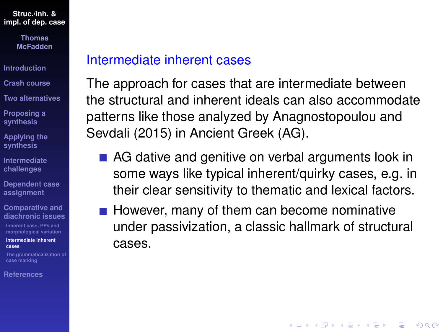> **Thomas McFadden**

**[Introduction](#page-1-0)**

**[Crash course](#page-3-0)**

**[Two alternatives](#page-15-0)**

**[Proposing a](#page-33-0) synthesis**

**[Applying the](#page-44-0) synthesis**

**[Intermediate](#page-67-0) challenges**

**[Dependent case](#page-82-0) assignment**

**Comparative and [diachronic issues](#page-96-0)**

**Inherent case, PPs and [morphological variation](#page-97-0)**

**[Intermediate inherent](#page-99-0) cases**

**[The grammaticalization of](#page-106-0) case marking**

**[References](#page-108-0)**

### <span id="page-99-0"></span>Intermediate inherent cases

The approach for cases that are intermediate between the structural and inherent ideals can also accommodate patterns like those analyzed by [Anagnostopoulou and](#page-108-3) [Sevdali \(2015\)](#page-108-3) in Ancient Greek (AG).

- AG dative and genitive on verbal arguments look in some ways like typical inherent/quirky cases, e.g. in their clear sensitivity to thematic and lexical factors.
- $\blacksquare$  However, many of them can become nominative under passivization, a classic hallmark of structural cases.

**KORK ERKER ADAM ADA**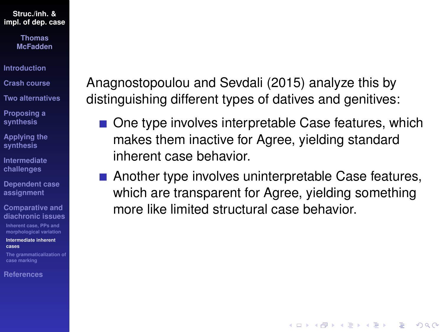> **Thomas McFadden**

**[Introduction](#page-1-0)**

- **[Crash course](#page-3-0)**
- **[Two alternatives](#page-15-0)**

**[Proposing a](#page-33-0) synthesis**

- **[Applying the](#page-44-0) synthesis**
- **[Intermediate](#page-67-0) challenges**
- **[Dependent case](#page-82-0) assignment**
- **Comparative and [diachronic issues](#page-96-0)**

**Inherent case, PPs and [morphological variation](#page-97-0)**

**[Intermediate inherent](#page-99-0) cases**

**[The grammaticalization of](#page-106-0) case marking**

**[References](#page-108-0)**

[Anagnostopoulou and Sevdali \(2015\)](#page-108-3) analyze this by distinguishing different types of datives and genitives:

- One type involves interpretable Case features, which makes them inactive for Agree, yielding standard inherent case behavior.
- Another type involves uninterpretable Case features, which are transparent for Agree, yielding something more like limited structural case behavior.

**KOD CONTRACT A BOAR KOD A CO**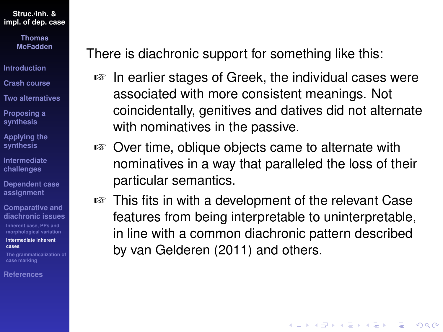> **Thomas McFadden**

**[Introduction](#page-1-0)**

**[Crash course](#page-3-0)**

**[Two alternatives](#page-15-0)**

**[Proposing a](#page-33-0) synthesis**

**[Applying the](#page-44-0) synthesis**

**[Intermediate](#page-67-0) challenges**

**[Dependent case](#page-82-0) assignment**

**Comparative and [diachronic issues](#page-96-0)**

**Inherent case, PPs and [morphological variation](#page-97-0)**

**[Intermediate inherent](#page-99-0) cases**

**[The grammaticalization of](#page-106-0) case marking**

**[References](#page-108-0)**

There is diachronic support for something like this:

- ☞ In earlier stages of Greek, the individual cases were associated with more consistent meanings. Not coincidentally, genitives and datives did not alternate with nominatives in the passive.
- ☞ Over time, oblique objects came to alternate with nominatives in a way that paralleled the loss of their particular semantics.
- ☞ This fits in with a development of the relevant Case features from being interpretable to uninterpretable, in line with a common diachronic pattern described by [van Gelderen \(2011\)](#page-110-2) and others.

**KORK ERKER ADAM ADA**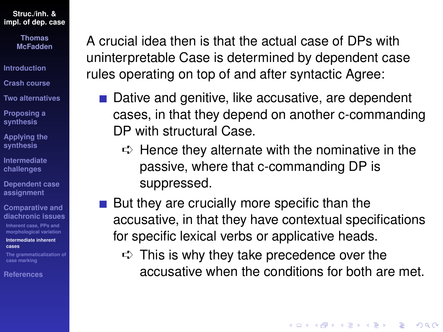> **Thomas McFadden**

- **[Introduction](#page-1-0)**
- **[Crash course](#page-3-0)**
- **[Two alternatives](#page-15-0)**
- **[Proposing a](#page-33-0) synthesis**
- **[Applying the](#page-44-0) synthesis**
- **[Intermediate](#page-67-0) challenges**
- **[Dependent case](#page-82-0) assignment**
- **Comparative and [diachronic issues](#page-96-0)**
- **Inherent case, PPs and [morphological variation](#page-97-0)**
- **[Intermediate inherent](#page-99-0) cases**
- **[The grammaticalization of](#page-106-0) case marking**
- **[References](#page-108-0)**

A crucial idea then is that the actual case of DPs with uninterpretable Case is determined by dependent case rules operating on top of and after syntactic Agree:

- Dative and genitive, like accusative, are dependent cases, in that they depend on another c-commanding DP with structural Case.
	- $\Rightarrow$  Hence they alternate with the nominative in the passive, where that c-commanding DP is suppressed.
- But they are crucially more specific than the accusative, in that they have contextual specifications for specific lexical verbs or applicative heads.
	- $\Rightarrow$  This is why they take precedence over the accusative when the conditions for both are met.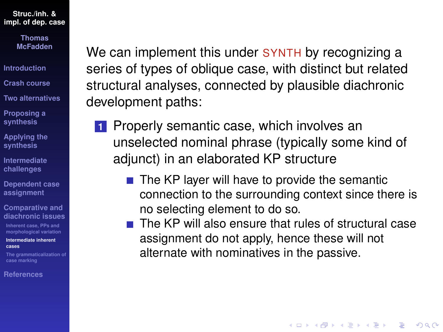> **Thomas McFadden**

**[Introduction](#page-1-0)**

**[Crash course](#page-3-0)**

**[Two alternatives](#page-15-0)**

**[Proposing a](#page-33-0) synthesis**

**[Applying the](#page-44-0) synthesis**

**[Intermediate](#page-67-0) challenges**

**[Dependent case](#page-82-0) assignment**

**Comparative and [diachronic issues](#page-96-0)**

**Inherent case, PPs and [morphological variation](#page-97-0)**

**[Intermediate inherent](#page-99-0) cases**

**[The grammaticalization of](#page-106-0) case marking**

**[References](#page-108-0)**

We can implement this under SYNTH by recognizing a series of types of oblique case, with distinct but related structural analyses, connected by plausible diachronic development paths:

- **1** Properly semantic case, which involves an unselected nominal phrase (typically some kind of adjunct) in an elaborated KP structure
	- $\blacksquare$  The KP layer will have to provide the semantic connection to the surrounding context since there is no selecting element to do so.
	- $\blacksquare$  The KP will also ensure that rules of structural case assignment do not apply, hence these will not alternate with nominatives in the passive.

**KORKARA KERKER DAGA**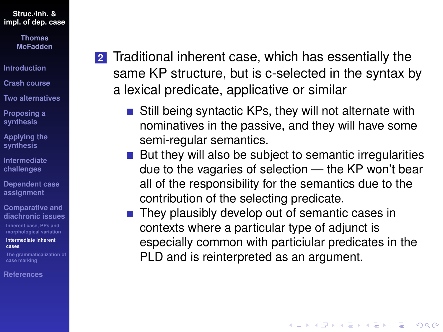> **Thomas McFadden**

**[Introduction](#page-1-0)**

**[Crash course](#page-3-0)**

**[Two alternatives](#page-15-0)**

**[Proposing a](#page-33-0) synthesis**

**[Applying the](#page-44-0) synthesis**

**[Intermediate](#page-67-0) challenges**

**[Dependent case](#page-82-0) assignment**

**Comparative and [diachronic issues](#page-96-0)**

**Inherent case, PPs and [morphological variation](#page-97-0)**

**[Intermediate inherent](#page-99-0) cases**

**[The grammaticalization of](#page-106-0) case marking**

**[References](#page-108-0)**

- <span id="page-104-0"></span>**2** Traditional inherent case, which has essentially the same KP structure, but is c-selected in the syntax by a lexical predicate, applicative or similar
	- $\blacksquare$  Still being syntactic KPs, they will not alternate with nominatives in the passive, and they will have some semi-regular semantics.
	- $\blacksquare$  But they will also be subject to semantic irregularities due to the vagaries of selection — the KP won't bear all of the responsibility for the semantics due to the contribution of the selecting predicate.
	- $\blacksquare$  They plausibly develop out of semantic cases in contexts where a particular type of adjunct is especially common with particiular predicates in the PLD and is reinterpreted as an argument.

**KORK ERKER ADAM ADA**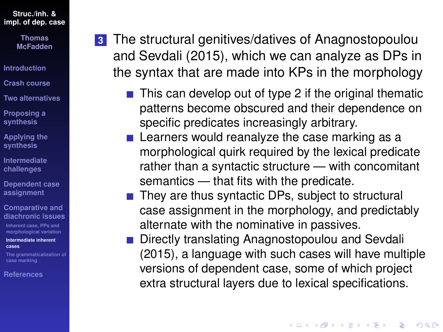**Thomas McFadden**

- **[Introduction](#page-1-0)**
- **[Crash course](#page-3-0)**
- **[Two alternatives](#page-15-0)**
- **[Proposing a](#page-33-0) synthesis**
- **[Applying the](#page-44-0) synthesis**
- **[Intermediate](#page-67-0) challenges**
- **[Dependent case](#page-82-0) assignment**
- **Comparative and [diachronic issues](#page-96-0)**
- **Inherent case, PPs and [morphological variation](#page-97-0)**

**[Intermediate inherent](#page-99-0) cases**

**[The grammaticalization of](#page-106-0) case marking**

**[References](#page-108-0)**

- **3** The structural genitives/datives of [Anagnostopoulou](#page-108-3) [and Sevdali \(2015\)](#page-108-3), which we can analyze as DPs in the syntax that are made into KPs in the morphology
	- $\blacksquare$  This can develop out of type [2](#page-104-0) if the original thematic patterns become obscured and their dependence on specific predicates increasingly arbitrary.
	- $\blacksquare$  Learners would reanalyze the case marking as a morphological quirk required by the lexical predicate rather than a syntactic structure — with concomitant semantics — that fits with the predicate.
	- $\blacksquare$  They are thus syntactic DPs, subject to structural case assignment in the morphology, and predictably alternate with the nominative in passives.
	- Directly translating [Anagnostopoulou and Sevdali](#page-108-3) [\(2015\)](#page-108-3), a language with such cases will have multiple versions of dependent case, some of which project extra structural layers due to lexical specifications.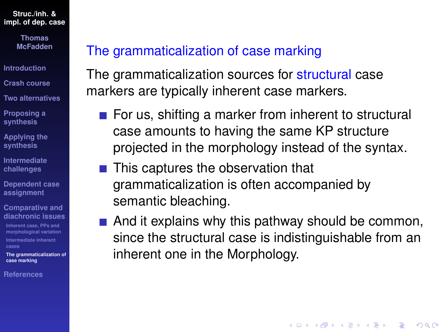> **Thomas McFadden**

**[Introduction](#page-1-0)**

**[Crash course](#page-3-0)**

**[Two alternatives](#page-15-0)**

**[Proposing a](#page-33-0) synthesis**

**[Applying the](#page-44-0) synthesis**

**[Intermediate](#page-67-0) challenges**

**[Dependent case](#page-82-0) assignment**

**Comparative and [diachronic issues](#page-96-0)**

**Inherent case, PPs and [morphological variation](#page-97-0) [Intermediate inherent](#page-99-0) cases**

**[The grammaticalization of](#page-106-0) case marking**

**[References](#page-108-0)**

# <span id="page-106-0"></span>The grammaticalization of case marking

The grammaticalization sources for structural case markers are typically inherent case markers.

- $\blacksquare$  For us, shifting a marker from inherent to structural case amounts to having the same KP structure projected in the morphology instead of the syntax.
- $\blacksquare$  This captures the observation that grammaticalization is often accompanied by semantic bleaching.
- $\blacksquare$  And it explains why this pathway should be common, since the structural case is indistinguishable from an inherent one in the Morphology.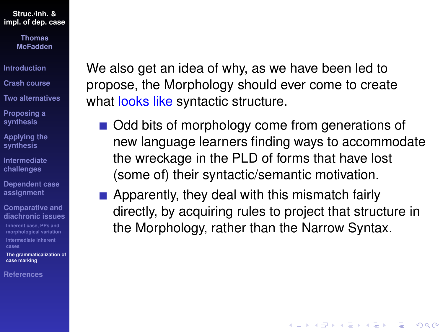> **Thomas McFadden**

**[Introduction](#page-1-0)**

**[Crash course](#page-3-0)**

**[Two alternatives](#page-15-0)**

**[Proposing a](#page-33-0) synthesis**

**[Applying the](#page-44-0) synthesis**

**[Intermediate](#page-67-0) challenges**

**[Dependent case](#page-82-0) assignment**

**Comparative and [diachronic issues](#page-96-0)**

**Inherent case, PPs and [morphological variation](#page-97-0) [Intermediate inherent](#page-99-0) cases**

**[The grammaticalization of](#page-106-0) case marking**

**[References](#page-108-0)**

We also get an idea of why, as we have been led to propose, the Morphology should ever come to create what looks like syntactic structure.

- Odd bits of morphology come from generations of new language learners finding ways to accommodate the wreckage in the PLD of forms that have lost (some of) their syntactic/semantic motivation.
- **Apparently, they deal with this mismatch fairly** directly, by acquiring rules to project that structure in the Morphology, rather than the Narrow Syntax.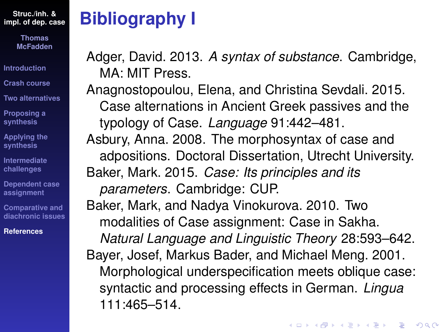> **Thomas McFadden**

**[Introduction](#page-1-0)**

**[Crash course](#page-3-0)**

**[Two alternatives](#page-15-0)**

**[Proposing a](#page-33-0) synthesis**

**[Applying the](#page-44-0) synthesis**

**[Intermediate](#page-67-0) challenges**

**[Dependent case](#page-82-0) assignment**

**Comparative and [diachronic issues](#page-96-0)**

**[References](#page-108-0)**

## <span id="page-108-0"></span>**Bibliography I**

Adger, David. 2013. *A syntax of substance*. Cambridge, MA: MIT Press.

Anagnostopoulou, Elena, and Christina Sevdali. 2015. Case alternations in Ancient Greek passives and the typology of Case. *Language* 91:442–481. Asbury, Anna. 2008. The morphosyntax of case and adpositions. Doctoral Dissertation, Utrecht University. Baker, Mark. 2015. *Case: Its principles and its parameters*. Cambridge: CUP. Baker, Mark, and Nadya Vinokurova. 2010. Two modalities of Case assignment: Case in Sakha. *Natural Language and Linguistic Theory* 28:593–642. Bayer, Josef, Markus Bader, and Michael Meng. 2001. Morphological underspecification meets oblique case: syntactic and processing effects in German. *Lingua* 111:465–514.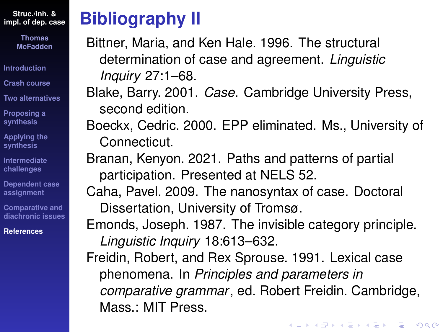> **Thomas McFadden**

**[Introduction](#page-1-0)**

**[Crash course](#page-3-0)**

**[Two alternatives](#page-15-0)**

**[Proposing a](#page-33-0) synthesis**

**[Applying the](#page-44-0) synthesis**

**[Intermediate](#page-67-0) challenges**

**[Dependent case](#page-82-0) assignment**

**Comparative and [diachronic issues](#page-96-0)**

**[References](#page-108-0)**

## **Bibliography II**

Bittner, Maria, and Ken Hale. 1996. The structural determination of case and agreement. *Linguistic Inquiry* 27:1–68.

Blake, Barry. 2001. *Case*. Cambridge University Press, second edition.

Boeckx, Cedric. 2000. EPP eliminated. Ms., University of Connecticut.

Branan, Kenyon. 2021. Paths and patterns of partial participation. Presented at NELS 52.

Caha, Pavel. 2009. The nanosyntax of case. Doctoral Dissertation, University of Tromsø.

Emonds, Joseph. 1987. The invisible category principle. *Linguistic Inquiry* 18:613–632.

Freidin, Robert, and Rex Sprouse. 1991. Lexical case phenomena. In *Principles and parameters in comparative grammar*, ed. Robert Freidin. Cambridge, Mass.: MIT Press.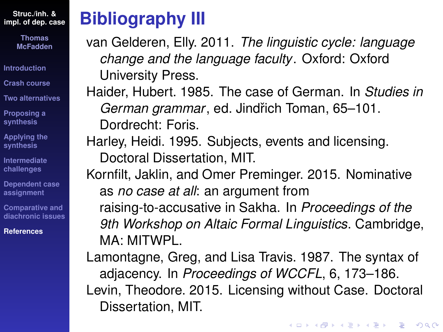> **Thomas McFadden**

**[Introduction](#page-1-0)**

**[Crash course](#page-3-0)**

**[Two alternatives](#page-15-0)**

**[Proposing a](#page-33-0) synthesis**

**[Applying the](#page-44-0) synthesis**

**[Intermediate](#page-67-0) challenges**

**[Dependent case](#page-82-0) assignment**

**Comparative and [diachronic issues](#page-96-0)**

**[References](#page-108-0)**

#### **Bibliography III**

van Gelderen, Elly. 2011. *The linguistic cycle: language change and the language faculty*. Oxford: Oxford University Press.

Haider, Hubert. 1985. The case of German. In *Studies in German grammar*, ed. Jindˇrich Toman, 65–101. Dordrecht: Foris.

Harley, Heidi. 1995. Subjects, events and licensing. Doctoral Dissertation, MIT.

Kornfilt, Jaklin, and Omer Preminger. 2015. Nominative as *no case at all*: an argument from raising-to-accusative in Sakha. In *Proceedings of the 9th Workshop on Altaic Formal Linguistics*. Cambridge, MA: MITWPL.

Lamontagne, Greg, and Lisa Travis. 1987. The syntax of adjacency. In *Proceedings of WCCFL*, 6, 173–186. Levin, Theodore. 2015. Licensing without Case. Doctoral Dissertation, MIT.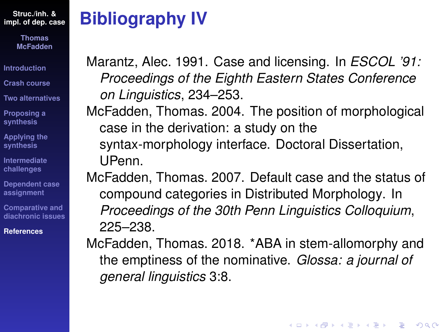> **Thomas McFadden**

**[Introduction](#page-1-0)**

**[Crash course](#page-3-0)**

**[Two alternatives](#page-15-0)**

**[Proposing a](#page-33-0) synthesis**

**[Applying the](#page-44-0) synthesis**

**[Intermediate](#page-67-0) challenges**

**[Dependent case](#page-82-0) assignment**

**Comparative and [diachronic issues](#page-96-0)**

**[References](#page-108-0)**

### **Bibliography IV**

Marantz, Alec. 1991. Case and licensing. In *ESCOL '91: Proceedings of the Eighth Eastern States Conference on Linguistics*, 234–253.

McFadden, Thomas. 2004. The position of morphological case in the derivation: a study on the syntax-morphology interface. Doctoral Dissertation, UPenn.

McFadden, Thomas. 2007. Default case and the status of compound categories in Distributed Morphology. In *Proceedings of the 30th Penn Linguistics Colloquium*, 225–238.

McFadden, Thomas. 2018. \*ABA in stem-allomorphy and the emptiness of the nominative. *Glossa: a journal of general linguistics* 3:8.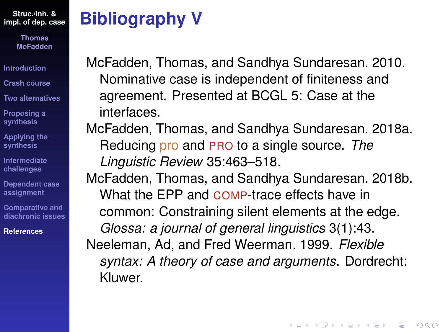> **Thomas McFadden**

**[Introduction](#page-1-0)**

**[Crash course](#page-3-0)**

**[Two alternatives](#page-15-0)**

**[Proposing a](#page-33-0) synthesis**

**[Applying the](#page-44-0) synthesis**

**[Intermediate](#page-67-0) challenges**

**[Dependent case](#page-82-0) assignment**

**Comparative and [diachronic issues](#page-96-0)**

**[References](#page-108-0)**

## **Bibliography V**

McFadden, Thomas, and Sandhya Sundaresan. 2010. Nominative case is independent of finiteness and agreement. Presented at BCGL 5: Case at the interfaces.

McFadden, Thomas, and Sandhya Sundaresan. 2018a. Reducing pro and PRO to a single source. *The Linguistic Review* 35:463–518.

McFadden, Thomas, and Sandhya Sundaresan. 2018b. What the EPP and COMP-trace effects have in common: Constraining silent elements at the edge. *Glossa: a journal of general linguistics* 3(1):43. Neeleman, Ad, and Fred Weerman. 1999. *Flexible syntax: A theory of case and arguments*. Dordrecht: Kluwer.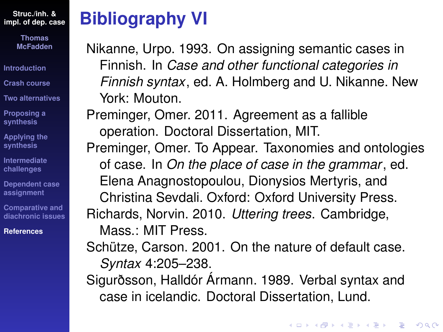> **Thomas McFadden**

**[Introduction](#page-1-0)**

**[Crash course](#page-3-0)**

**[Two alternatives](#page-15-0)**

**[Proposing a](#page-33-0) synthesis**

**[Applying the](#page-44-0) synthesis**

**[Intermediate](#page-67-0) challenges**

**[Dependent case](#page-82-0) assignment**

**Comparative and [diachronic issues](#page-96-0)**

**[References](#page-108-0)**

#### **Bibliography VI**

Nikanne, Urpo. 1993. On assigning semantic cases in Finnish. In *Case and other functional categories in Finnish syntax*, ed. A. Holmberg and U. Nikanne. New York: Mouton.

Preminger, Omer. 2011. Agreement as a fallible operation. Doctoral Dissertation, MIT.

Preminger, Omer. To Appear. Taxonomies and ontologies of case. In *On the place of case in the grammar*, ed. Elena Anagnostopoulou, Dionysios Mertyris, and Christina Sevdali. Oxford: Oxford University Press. Richards, Norvin. 2010. *Uttering trees*. Cambridge, Mass.: MIT Press.

Schütze, Carson. 2001. On the nature of default case. *Syntax* 4:205–238.

Sigurðsson, Halldór Ármann. 1989. Verbal syntax and case in icelandic. Doctoral Dissertation, Lund.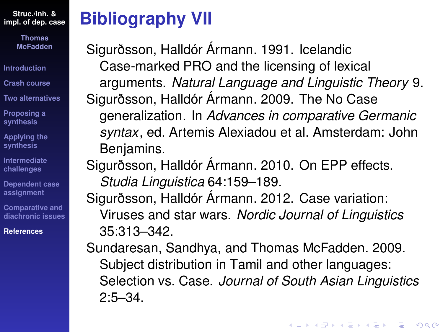> **Thomas McFadden**

**[Introduction](#page-1-0)**

**[Crash course](#page-3-0)**

**[Two alternatives](#page-15-0)**

**[Proposing a](#page-33-0) synthesis**

**[Applying the](#page-44-0) synthesis**

**[Intermediate](#page-67-0) challenges**

**[Dependent case](#page-82-0) assignment**

**Comparative and [diachronic issues](#page-96-0)**

**[References](#page-108-0)**

# **Bibliography VII**

Sigurðsson, Halldór Ármann. 1991. Icelandic Case-marked PRO and the licensing of lexical arguments. *Natural Language and Linguistic Theory* 9. Sigurðsson, Halldór Ármann. 2009. The No Case generalization. In *Advances in comparative Germanic syntax*, ed. Artemis Alexiadou et al. Amsterdam: John Benjamins.

Sigurðsson, Halldór Ármann. 2010. On EPP effects. *Studia Linguistica* 64:159–189.

Sigurðsson, Halldór Ármann. 2012. Case variation: Viruses and star wars. *Nordic Journal of Linguistics* 35:313–342.

Sundaresan, Sandhya, and Thomas McFadden. 2009. Subject distribution in Tamil and other languages: Selection vs. Case. *Journal of South Asian Linguistics* 2:5–34.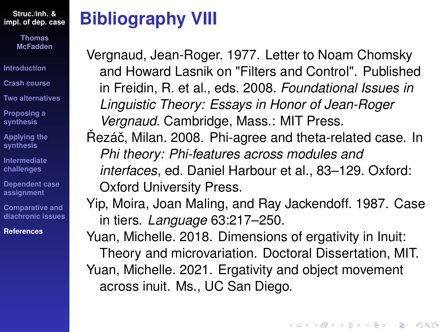> **Thomas McFadden**

**[Introduction](#page-1-0)**

**[Crash course](#page-3-0)**

**[Two alternatives](#page-15-0)**

**[Proposing a](#page-33-0) synthesis**

**[Applying the](#page-44-0) synthesis**

**[Intermediate](#page-67-0) challenges**

**[Dependent case](#page-82-0) assignment**

**Comparative and [diachronic issues](#page-96-0)**

**[References](#page-108-0)**

## **Bibliography VIII**

Vergnaud, Jean-Roger. 1977. Letter to Noam Chomsky and Howard Lasnik on "Filters and Control". Published in Freidin, R. et al., eds. 2008. *Foundational Issues in Linguistic Theory: Essays in Honor of Jean-Roger Vergnaud*. Cambridge, Mass.: MIT Press. Řezáč, Milan. 2008. Phi-agree and theta-related case. In *Phi theory: Phi-features across modules and interfaces*, ed. Daniel Harbour et al., 83–129. Oxford: Oxford University Press. Yip, Moira, Joan Maling, and Ray Jackendoff. 1987. Case

in tiers. *Language* 63:217–250. Yuan, Michelle. 2018. Dimensions of ergativity in Inuit: Theory and microvariation. Doctoral Dissertation, MIT. Yuan, Michelle. 2021. Ergativity and object movement across inuit. Ms., UC San Diego.